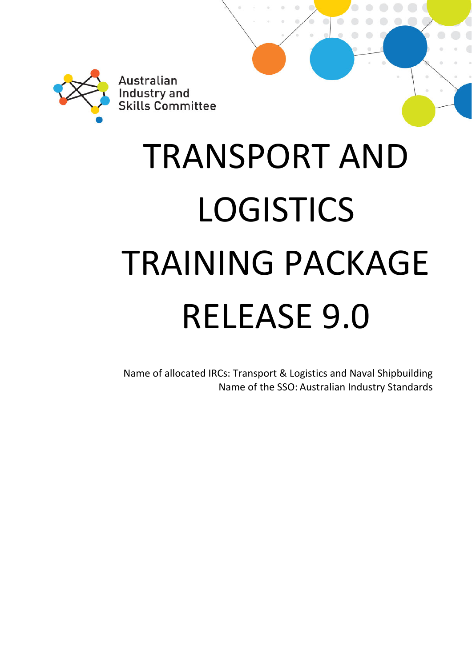

# TRANSPORT AND LOGISTICS TRAINING PACKAGE RELEASE 9.0

Name of allocated IRCs: Transport & Logistics and Naval Shipbuilding Name of the SSO: Australian Industry Standards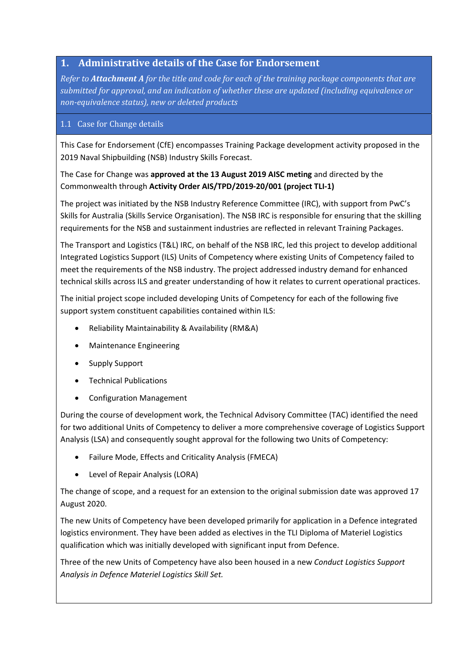## **1. Administrative details of the Case for Endorsement**

*Refer to Attachment A for the title and code for each of the training package components that are submitted for approval, and an indication of whether these are updated (including equivalence or non‐equivalence status), new or deleted products*

#### 1.1 Case for Change details

This Case for Endorsement (CfE) encompasses Training Package development activity proposed in the 2019 Naval Shipbuilding (NSB) Industry Skills Forecast.

The Case for Change was **approved at the 13 August 2019 AISC meting** and directed by the Commonwealth through **Activity Order AIS/TPD/2019‐20/001 (project TLI‐1)**

The project was initiated by the NSB Industry Reference Committee (IRC), with support from PwC's Skills for Australia (Skills Service Organisation). The NSB IRC is responsible for ensuring that the skilling requirements for the NSB and sustainment industries are reflected in relevant Training Packages.

The Transport and Logistics (T&L) IRC, on behalf of the NSB IRC, led this project to develop additional Integrated Logistics Support (ILS) Units of Competency where existing Units of Competency failed to meet the requirements of the NSB industry. The project addressed industry demand for enhanced technical skills across ILS and greater understanding of how it relates to current operational practices.

The initial project scope included developing Units of Competency for each of the following five support system constituent capabilities contained within ILS:

- Reliability Maintainability & Availability (RM&A)
- Maintenance Engineering
- Supply Support
- Technical Publications
- Configuration Management

During the course of development work, the Technical Advisory Committee (TAC) identified the need for two additional Units of Competency to deliver a more comprehensive coverage of Logistics Support Analysis (LSA) and consequently sought approval for the following two Units of Competency:

- Failure Mode, Effects and Criticality Analysis (FMECA)
- Level of Repair Analysis (LORA)

The change of scope, and a request for an extension to the original submission date was approved 17 August 2020.

The new Units of Competency have been developed primarily for application in a Defence integrated logistics environment. They have been added as electives in the TLI Diploma of Materiel Logistics qualification which was initially developed with significant input from Defence.

Three of the new Units of Competency have also been housed in a new *Conduct Logistics Support Analysis in Defence Materiel Logistics Skill Set.*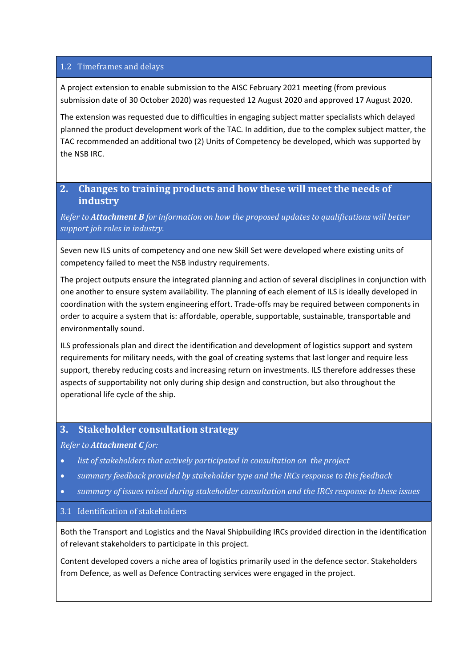#### 1.2 Timeframes and delays

A project extension to enable submission to the AISC February 2021 meeting (from previous submission date of 30 October 2020) was requested 12 August 2020 and approved 17 August 2020.

The extension was requested due to difficulties in engaging subject matter specialists which delayed planned the product development work of the TAC. In addition, due to the complex subject matter, the TAC recommended an additional two (2) Units of Competency be developed, which was supported by the NSB IRC.

#### **2. Changes to training products and how these will meet the needs of industry**

*Refer to Attachment B for information on how the proposed updates to qualifications will better support job roles in industry.*

Seven new ILS units of competency and one new Skill Set were developed where existing units of competency failed to meet the NSB industry requirements.

The project outputs ensure the integrated planning and action of several disciplines in conjunction with one another to ensure system availability. The planning of each element of ILS is ideally developed in coordination with the system engineering effort. Trade‐offs may be required between components in order to acquire a system that is: affordable, operable, supportable, sustainable, transportable and environmentally sound.

ILS professionals plan and direct the identification and development of logistics support and system requirements for military needs, with the goal of creating systems that last longer and require less support, thereby reducing costs and increasing return on investments. ILS therefore addresses these aspects of supportability not only during ship design and construction, but also throughout the operational life cycle of the ship.

#### **3. Stakeholder consultation strategy**

#### *Refer to Attachment C for:*

- *list of stakeholders that actively participated in consultation on the project*
- *summary feedback provided by stakeholder type and the IRCs response to this feedback*
- *summary of issues raised during stakeholder consultation and the IRCs response to these issues*

#### 3.1 Identification of stakeholders

Both the Transport and Logistics and the Naval Shipbuilding IRCs provided direction in the identification of relevant stakeholders to participate in this project.

Content developed covers a niche area of logistics primarily used in the defence sector. Stakeholders from Defence, as well as Defence Contracting services were engaged in the project.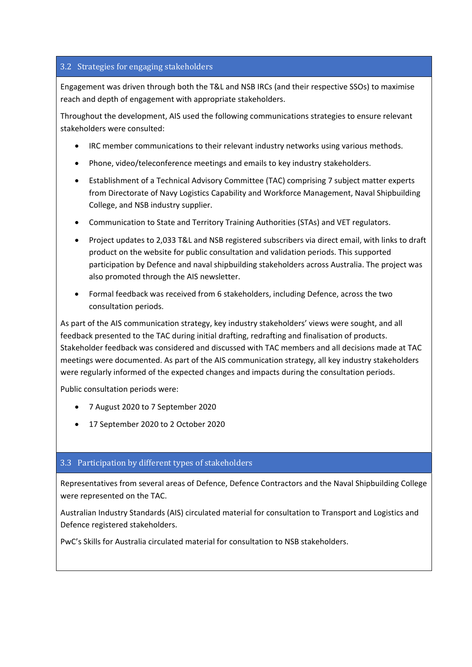#### 3.2 Strategies for engaging stakeholders

Engagement was driven through both the T&L and NSB IRCs (and their respective SSOs) to maximise reach and depth of engagement with appropriate stakeholders.

Throughout the development, AIS used the following communications strategies to ensure relevant stakeholders were consulted:

- IRC member communications to their relevant industry networks using various methods.
- Phone, video/teleconference meetings and emails to key industry stakeholders.
- Establishment of a Technical Advisory Committee (TAC) comprising 7 subject matter experts from Directorate of Navy Logistics Capability and Workforce Management, Naval Shipbuilding College, and NSB industry supplier.
- Communication to State and Territory Training Authorities (STAs) and VET regulators.
- Project updates to 2,033 T&L and NSB registered subscribers via direct email, with links to draft product on the website for public consultation and validation periods. This supported participation by Defence and naval shipbuilding stakeholders across Australia. The project was also promoted through the AIS newsletter.
- Formal feedback was received from 6 stakeholders, including Defence, across the two consultation periods.

As part of the AIS communication strategy, key industry stakeholders' views were sought, and all feedback presented to the TAC during initial drafting, redrafting and finalisation of products. Stakeholder feedback was considered and discussed with TAC members and all decisions made at TAC meetings were documented. As part of the AIS communication strategy, all key industry stakeholders were regularly informed of the expected changes and impacts during the consultation periods.

Public consultation periods were:

- 7 August 2020 to 7 September 2020
- 17 September 2020 to 2 October 2020

#### 3.3 Participation by different types of stakeholders

Representatives from several areas of Defence, Defence Contractors and the Naval Shipbuilding College were represented on the TAC.

Australian Industry Standards (AIS) circulated material for consultation to Transport and Logistics and Defence registered stakeholders.

PwC's Skills for Australia circulated material for consultation to NSB stakeholders.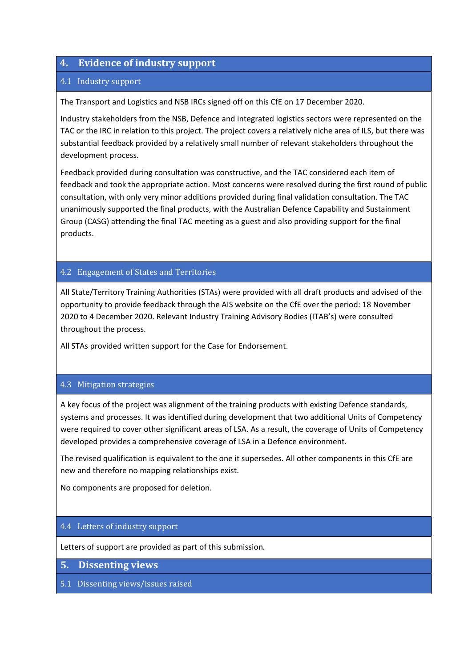#### **4. Evidence of industry support**

#### 4.1 Industry support

The Transport and Logistics and NSB IRCs signed off on this CfE on 17 December 2020.

Industry stakeholders from the NSB, Defence and integrated logistics sectors were represented on the TAC or the IRC in relation to this project. The project covers a relatively niche area of ILS, but there was substantial feedback provided by a relatively small number of relevant stakeholders throughout the development process.

Feedback provided during consultation was constructive, and the TAC considered each item of feedback and took the appropriate action. Most concerns were resolved during the first round of public consultation, with only very minor additions provided during final validation consultation. The TAC unanimously supported the final products, with the Australian Defence Capability and Sustainment Group (CASG) attending the final TAC meeting as a guest and also providing support for the final products.

#### 4.2 Engagement of States and Territories

All State/Territory Training Authorities (STAs) were provided with all draft products and advised of the opportunity to provide feedback through the AIS website on the CfE over the period: 18 November 2020 to 4 December 2020. Relevant Industry Training Advisory Bodies (ITAB's) were consulted throughout the process.

All STAs provided written support for the Case for Endorsement.

#### 4.3 Mitigation strategies

A key focus of the project was alignment of the training products with existing Defence standards, systems and processes. It was identified during development that two additional Units of Competency were required to cover other significant areas of LSA. As a result, the coverage of Units of Competency developed provides a comprehensive coverage of LSA in a Defence environment.

The revised qualification is equivalent to the one it supersedes. All other components in this CfE are new and therefore no mapping relationships exist.

No components are proposed for deletion.

#### 4.4 Letters of industry support

Letters of support are provided as part of this submission.

**5. Dissenting views** 

5.1 Dissenting views/issues raised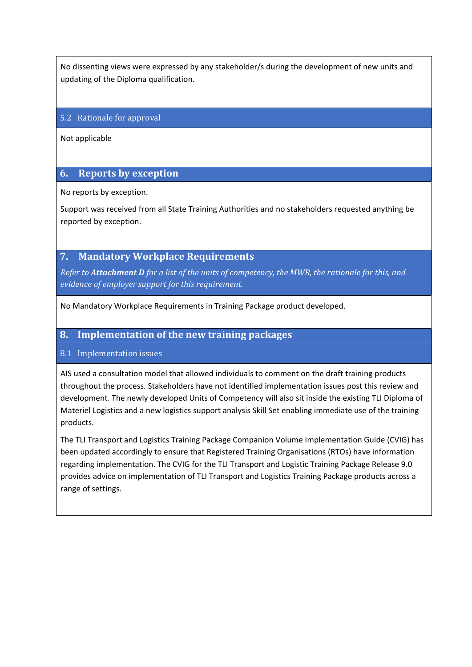No dissenting views were expressed by any stakeholder/s during the development of new units and updating of the Diploma qualification.

#### 5.2 Rationale for approval

Not applicable

#### **6. Reports by exception**

No reports by exception.

Support was received from all State Training Authorities and no stakeholders requested anything be reported by exception.

#### **7. Mandatory Workplace Requirements**

Refer to Attachment D for a list of the units of competency, the MWR, the rationale for this, and *evidence of employer support for this requirement.*

No Mandatory Workplace Requirements in Training Package product developed.

#### **8. Implementation of the new training packages**

#### 8.1 Implementation issues

AIS used a consultation model that allowed individuals to comment on the draft training products throughout the process. Stakeholders have not identified implementation issues post this review and development. The newly developed Units of Competency will also sit inside the existing TLI Diploma of Materiel Logistics and a new logistics support analysis Skill Set enabling immediate use of the training products.

The TLI Transport and Logistics Training Package Companion Volume Implementation Guide (CVIG) has been updated accordingly to ensure that Registered Training Organisations (RTOs) have information regarding implementation. The CVIG for the TLI Transport and Logistic Training Package Release 9.0 provides advice on implementation of TLI Transport and Logistics Training Package products across a range of settings.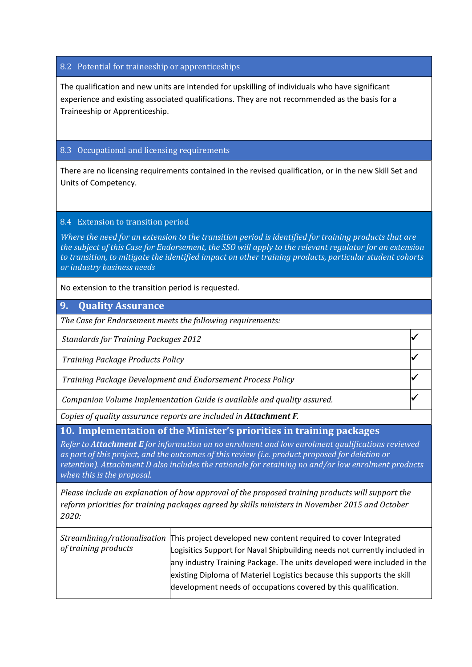#### 8.2 Potential for traineeship or apprenticeships

The qualification and new units are intended for upskilling of individuals who have significant experience and existing associated qualifications. They are not recommended as the basis for a Traineeship or Apprenticeship.

#### 8.3 Occupational and licensing requirements

There are no licensing requirements contained in the revised qualification, or in the new Skill Set and Units of Competency.

#### 8.4 Extension to transition period

*Where the need for an extension to the transition period is identified for training products that are* the subject of this Case for Endorsement, the SSO will apply to the relevant requlator for an extension *to transition, to mitigate the identified impact on other training products, particular student cohorts or industry business needs*

No extension to the transition period is requested.

#### **9. Quality Assurance**

*The Case for Endorsement meets the following requirements:* 

*Standards for Training Packages 2012*

*Training Package Products Policy*

*Training Package Development and Endorsement Process Policy*

*Companion Volume Implementation Guide is available and quality assured.*

*Copies of quality assurance reports are included in Attachment F.*

**10. Implementation of the Minister's priorities in training packages** 

*Refer to Attachment E for information on no enrolment and low enrolment qualifications reviewed as part of this project, and the outcomes of this review (i.e. product proposed for deletion or retention). Attachment D also includes the rationale for retaining no and/or low enrolment products when this is the proposal.* 

*Please include an explanation of how approval of the proposed training products will support the reform priorities for training packages agreed by skills ministers in November 2015 and October 2020:*

| of training products | Streamlining/rationalisation This project developed new content required to cover Integrated |
|----------------------|----------------------------------------------------------------------------------------------|
|                      | Logisitics Support for Naval Shipbuilding needs not currently included in                    |
|                      | any industry Training Package. The units developed were included in the                      |
|                      | existing Diploma of Materiel Logistics because this supports the skill                       |
|                      | development needs of occupations covered by this qualification.                              |
|                      |                                                                                              |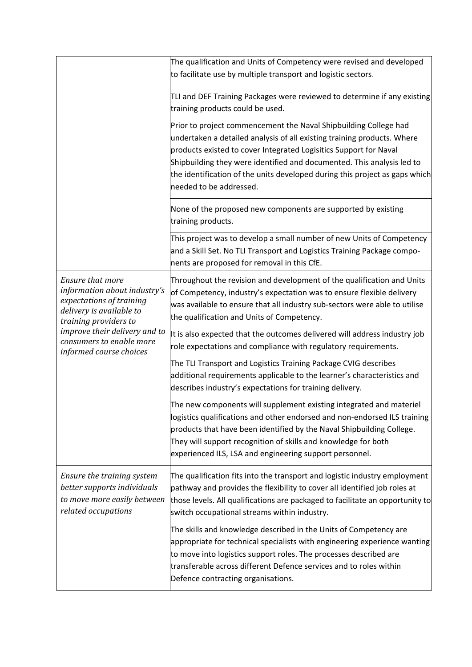|                                                                                                                                   | The qualification and Units of Competency were revised and developed                                                                                                                                                                                                                                                                                                                                 |
|-----------------------------------------------------------------------------------------------------------------------------------|------------------------------------------------------------------------------------------------------------------------------------------------------------------------------------------------------------------------------------------------------------------------------------------------------------------------------------------------------------------------------------------------------|
|                                                                                                                                   | to facilitate use by multiple transport and logistic sectors.                                                                                                                                                                                                                                                                                                                                        |
|                                                                                                                                   | TLI and DEF Training Packages were reviewed to determine if any existing<br>training products could be used.                                                                                                                                                                                                                                                                                         |
|                                                                                                                                   | Prior to project commencement the Naval Shipbuilding College had<br>undertaken a detailed analysis of all existing training products. Where<br>products existed to cover Integrated Logisitics Support for Naval<br>Shipbuilding they were identified and documented. This analysis led to<br>the identification of the units developed during this project as gaps which<br>needed to be addressed. |
|                                                                                                                                   | None of the proposed new components are supported by existing<br>training products.                                                                                                                                                                                                                                                                                                                  |
|                                                                                                                                   | This project was to develop a small number of new Units of Competency<br>and a Skill Set. No TLI Transport and Logistics Training Package compo-<br>nents are proposed for removal in this CfE.                                                                                                                                                                                                      |
| Ensure that more<br>information about industry's<br>expectations of training<br>delivery is available to<br>training providers to | Throughout the revision and development of the qualification and Units<br>of Competency, industry's expectation was to ensure flexible delivery<br>was available to ensure that all industry sub-sectors were able to utilise<br>the qualification and Units of Competency.                                                                                                                          |
| improve their delivery and to<br>consumers to enable more<br>informed course choices                                              | It is also expected that the outcomes delivered will address industry job<br>role expectations and compliance with regulatory requirements.                                                                                                                                                                                                                                                          |
|                                                                                                                                   | The TLI Transport and Logistics Training Package CVIG describes<br>additional requirements applicable to the learner's characteristics and<br>describes industry's expectations for training delivery.                                                                                                                                                                                               |
|                                                                                                                                   | The new components will supplement existing integrated and materiel<br>logistics qualifications and other endorsed and non-endorsed ILS training<br>products that have been identified by the Naval Shipbuilding College.<br>They will support recognition of skills and knowledge for both<br>experienced ILS, LSA and engineering support personnel.                                               |
| Ensure the training system<br>better supports individuals<br>to move more easily between<br>related occupations                   | The qualification fits into the transport and logistic industry employment<br>pathway and provides the flexibility to cover all identified job roles at<br>those levels. All qualifications are packaged to facilitate an opportunity to<br>switch occupational streams within industry.                                                                                                             |
|                                                                                                                                   | The skills and knowledge described in the Units of Competency are<br>appropriate for technical specialists with engineering experience wanting<br>to move into logistics support roles. The processes described are<br>transferable across different Defence services and to roles within<br>Defence contracting organisations.                                                                      |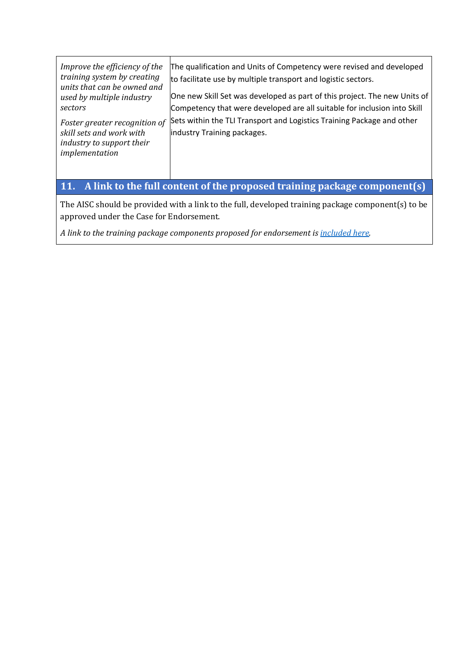| Improve the efficiency of the<br>training system by creating<br>units that can be owned and<br>used by multiple industry<br>sectors | The qualification and Units of Competency were revised and developed<br>to facilitate use by multiple transport and logistic sectors.<br>One new Skill Set was developed as part of this project. The new Units of<br>Competency that were developed are all suitable for inclusion into Skill |
|-------------------------------------------------------------------------------------------------------------------------------------|------------------------------------------------------------------------------------------------------------------------------------------------------------------------------------------------------------------------------------------------------------------------------------------------|
| Foster greater recognition of<br>skill sets and work with<br>industry to support their<br>implementation                            | Sets within the TLI Transport and Logistics Training Package and other<br>industry Training packages.<br>$\blacksquare$ . It is a set of $\blacksquare$ . The set of a set of $\blacksquare$ . The set of a set of $\blacksquare$                                                              |

## **11. A link to the full content of the proposed training package component(s)**

The AISC should be provided with a link to the full, developed training package component(s) to be approved under the Case for Endorsement.

*A link to the training package components proposed for endorsement is included here.*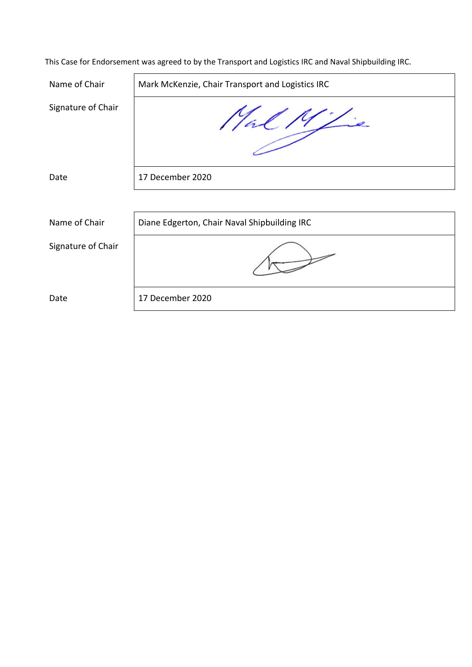| Name of Chair      | Mark McKenzie, Chair Transport and Logistics IRC |
|--------------------|--------------------------------------------------|
| Signature of Chair | $\overline{\phantom{a}}$                         |
| Date               | 17 December 2020                                 |
|                    |                                                  |
| Name of Chair      | Diane Edgerton, Chair Naval Shipbuilding IRC     |
| Signature of Chair |                                                  |
| Date               | 17 December 2020                                 |

This Case for Endorsement was agreed to by the Transport and Logistics IRC and Naval Shipbuilding IRC.

 $\overline{a}$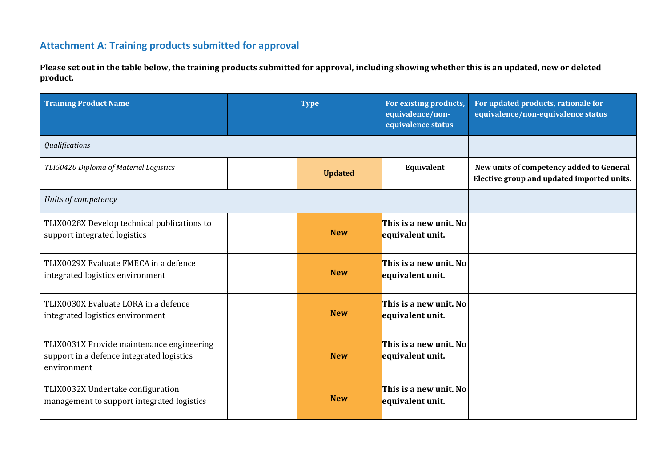## **Attachment A: Training products submitted for approval**

Please set out in the table below, the training products submitted for approval, including showing whether this is an updated, new or deleted **product.**

| <b>Training Product Name</b>                                                                          | <b>Type</b>    | For existing products,<br>equivalence/non-<br>equivalence status | For updated products, rationale for<br>equivalence/non-equivalence status              |
|-------------------------------------------------------------------------------------------------------|----------------|------------------------------------------------------------------|----------------------------------------------------------------------------------------|
| Qualifications                                                                                        |                |                                                                  |                                                                                        |
| TLI50420 Diploma of Materiel Logistics                                                                | <b>Updated</b> | Equivalent                                                       | New units of competency added to General<br>Elective group and updated imported units. |
| Units of competency                                                                                   |                |                                                                  |                                                                                        |
| TLIX0028X Develop technical publications to<br>support integrated logistics                           | <b>New</b>     | This is a new unit. No<br>equivalent unit.                       |                                                                                        |
| TLIX0029X Evaluate FMECA in a defence<br>integrated logistics environment                             | <b>New</b>     | This is a new unit. No<br>equivalent unit.                       |                                                                                        |
| TLIX0030X Evaluate LORA in a defence<br>integrated logistics environment                              | <b>New</b>     | This is a new unit. No<br>equivalent unit.                       |                                                                                        |
| TLIX0031X Provide maintenance engineering<br>support in a defence integrated logistics<br>environment | <b>New</b>     | This is a new unit. No<br>equivalent unit.                       |                                                                                        |
| TLIX0032X Undertake configuration<br>management to support integrated logistics                       | <b>New</b>     | This is a new unit. No<br>equivalent unit.                       |                                                                                        |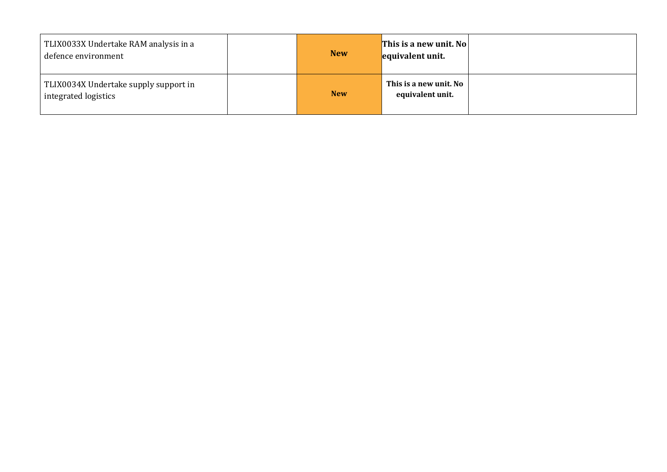| TLIX0033X Undertake RAM analysis in a<br>defence environment  | <b>New</b> | This is a new unit. No<br>equivalent unit. |  |
|---------------------------------------------------------------|------------|--------------------------------------------|--|
| TLIX0034X Undertake supply support in<br>integrated logistics | <b>New</b> | This is a new unit. No<br>equivalent unit. |  |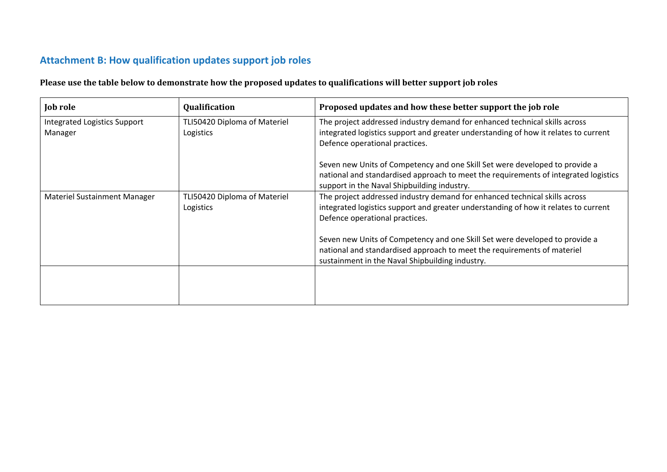## **Attachment B: How qualification updates support job roles**

Please use the table below to demonstrate how the proposed updates to qualifications will better support job roles

| <b>Job role</b>                                | <b>Qualification</b>                      | Proposed updates and how these better support the job role                                                                                                                                                        |
|------------------------------------------------|-------------------------------------------|-------------------------------------------------------------------------------------------------------------------------------------------------------------------------------------------------------------------|
| <b>Integrated Logistics Support</b><br>Manager | TLI50420 Diploma of Materiel<br>Logistics | The project addressed industry demand for enhanced technical skills across<br>integrated logistics support and greater understanding of how it relates to current<br>Defence operational practices.               |
|                                                |                                           | Seven new Units of Competency and one Skill Set were developed to provide a<br>national and standardised approach to meet the requirements of integrated logistics<br>support in the Naval Shipbuilding industry. |
| <b>Materiel Sustainment Manager</b>            | TLI50420 Diploma of Materiel<br>Logistics | The project addressed industry demand for enhanced technical skills across<br>integrated logistics support and greater understanding of how it relates to current<br>Defence operational practices.               |
|                                                |                                           | Seven new Units of Competency and one Skill Set were developed to provide a<br>national and standardised approach to meet the requirements of materiel<br>sustainment in the Naval Shipbuilding industry.         |
|                                                |                                           |                                                                                                                                                                                                                   |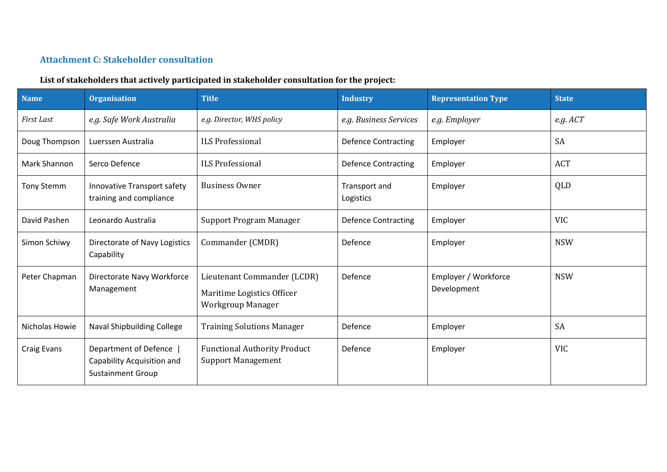#### **Attachment C: Stakeholder consultation**

#### **List of stakeholders that actively participated in stakeholder consultation for the project:**

| <b>Name</b>    | <b>Organisation</b>                                                               | <b>Title</b>                                                                   | <b>Industry</b>            | <b>Representation Type</b>          | <b>State</b> |
|----------------|-----------------------------------------------------------------------------------|--------------------------------------------------------------------------------|----------------------------|-------------------------------------|--------------|
| First Last     | e.g. Safe Work Australia                                                          | e.g. Director, WHS policy                                                      | e.g. Business Services     | e.g. Employer                       | $e.g.$ $ACT$ |
| Doug Thompson  | Luerssen Australia                                                                | <b>ILS Professional</b>                                                        | <b>Defence Contracting</b> | Employer                            | <b>SA</b>    |
| Mark Shannon   | Serco Defence                                                                     | <b>ILS Professional</b>                                                        | <b>Defence Contracting</b> | Employer                            | <b>ACT</b>   |
| Tony Stemm     | Innovative Transport safety<br>training and compliance                            | <b>Business Owner</b>                                                          | Transport and<br>Logistics | Employer                            | QLD          |
| David Pashen   | Leonardo Australia                                                                | Support Program Manager                                                        | <b>Defence Contracting</b> | Employer                            | <b>VIC</b>   |
| Simon Schiwy   | Directorate of Navy Logistics<br>Capability                                       | Commander (CMDR)                                                               | Defence                    | Employer                            | <b>NSW</b>   |
| Peter Chapman  | Directorate Navy Workforce<br>Management                                          | Lieutenant Commander (LCDR)<br>Maritime Logistics Officer<br>Workgroup Manager | Defence                    | Employer / Workforce<br>Development | <b>NSW</b>   |
| Nicholas Howie | Naval Shipbuilding College                                                        | <b>Training Solutions Manager</b>                                              | Defence                    | Employer                            | <b>SA</b>    |
| Craig Evans    | Department of Defence  <br>Capability Acquisition and<br><b>Sustainment Group</b> | <b>Functional Authority Product</b><br><b>Support Management</b>               | Defence                    | Employer                            | <b>VIC</b>   |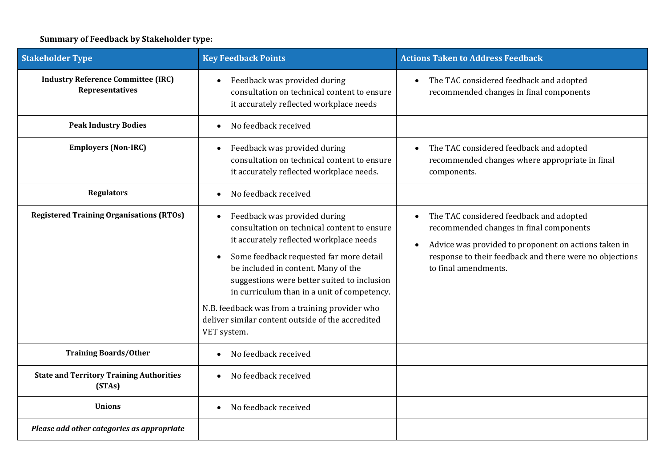## **Summary of Feedback by Stakeholder type:**

| <b>Stakeholder Type</b>                                             | <b>Key Feedback Points</b>                                                                                                                                                                                                                                                                                                                                                                                                   | <b>Actions Taken to Address Feedback</b>                                                                                                                                                                                                   |
|---------------------------------------------------------------------|------------------------------------------------------------------------------------------------------------------------------------------------------------------------------------------------------------------------------------------------------------------------------------------------------------------------------------------------------------------------------------------------------------------------------|--------------------------------------------------------------------------------------------------------------------------------------------------------------------------------------------------------------------------------------------|
| <b>Industry Reference Committee (IRC)</b><br><b>Representatives</b> | Feedback was provided during<br>consultation on technical content to ensure<br>it accurately reflected workplace needs                                                                                                                                                                                                                                                                                                       | The TAC considered feedback and adopted<br>$\bullet$<br>recommended changes in final components                                                                                                                                            |
| <b>Peak Industry Bodies</b>                                         | No feedback received                                                                                                                                                                                                                                                                                                                                                                                                         |                                                                                                                                                                                                                                            |
| <b>Employers (Non-IRC)</b>                                          | Feedback was provided during<br>consultation on technical content to ensure<br>it accurately reflected workplace needs.                                                                                                                                                                                                                                                                                                      | The TAC considered feedback and adopted<br>recommended changes where appropriate in final<br>components.                                                                                                                                   |
| <b>Regulators</b>                                                   | No feedback received                                                                                                                                                                                                                                                                                                                                                                                                         |                                                                                                                                                                                                                                            |
| <b>Registered Training Organisations (RTOs)</b>                     | Feedback was provided during<br>consultation on technical content to ensure<br>it accurately reflected workplace needs<br>Some feedback requested far more detail<br>be included in content. Many of the<br>suggestions were better suited to inclusion<br>in curriculum than in a unit of competency.<br>N.B. feedback was from a training provider who<br>deliver similar content outside of the accredited<br>VET system. | The TAC considered feedback and adopted<br>recommended changes in final components<br>Advice was provided to proponent on actions taken in<br>$\bullet$<br>response to their feedback and there were no objections<br>to final amendments. |
| <b>Training Boards/Other</b>                                        | No feedback received                                                                                                                                                                                                                                                                                                                                                                                                         |                                                                                                                                                                                                                                            |
| <b>State and Territory Training Authorities</b><br>(STAs)           | No feedback received                                                                                                                                                                                                                                                                                                                                                                                                         |                                                                                                                                                                                                                                            |
| <b>Unions</b>                                                       | No feedback received                                                                                                                                                                                                                                                                                                                                                                                                         |                                                                                                                                                                                                                                            |
| Please add other categories as appropriate                          |                                                                                                                                                                                                                                                                                                                                                                                                                              |                                                                                                                                                                                                                                            |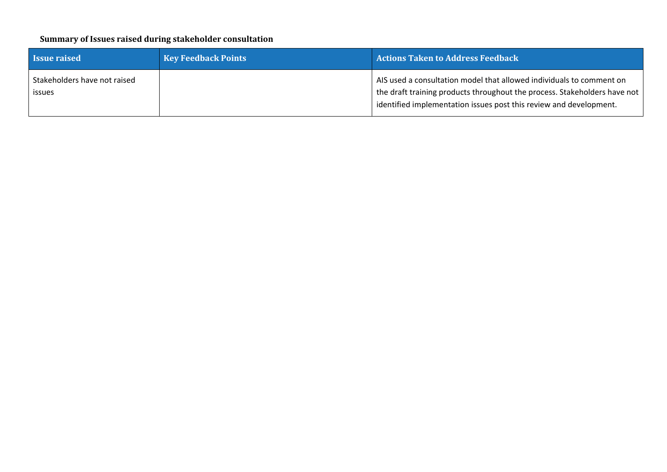#### **Summary of Issues raised during stakeholder consultation**

| <b>Issue raised</b>                           | <b>Key Feedback Points</b> | <b>Actions Taken to Address Feedback</b>                                                                                                                                                                                |
|-----------------------------------------------|----------------------------|-------------------------------------------------------------------------------------------------------------------------------------------------------------------------------------------------------------------------|
| Stakeholders have not raised<br><b>ISSUES</b> |                            | AIS used a consultation model that allowed individuals to comment on<br>the draft training products throughout the process. Stakeholders have not<br>identified implementation issues post this review and development. |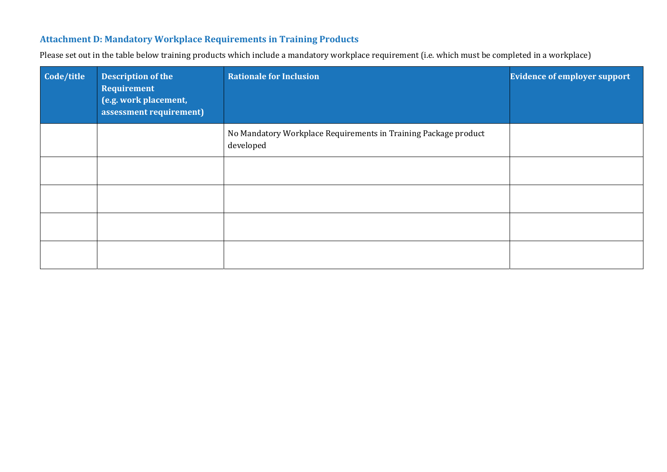#### **Attachment D: Mandatory Workplace Requirements in Training Products**

Please set out in the table below training products which include a mandatory workplace requirement (i.e. which must be completed in a workplace)

| Code/title | <b>Description of the</b><br>Requirement<br>(e.g. work placement,<br>assessment requirement) | <b>Rationale for Inclusion</b>                                               | <b>Evidence of employer support</b> |
|------------|----------------------------------------------------------------------------------------------|------------------------------------------------------------------------------|-------------------------------------|
|            |                                                                                              | No Mandatory Workplace Requirements in Training Package product<br>developed |                                     |
|            |                                                                                              |                                                                              |                                     |
|            |                                                                                              |                                                                              |                                     |
|            |                                                                                              |                                                                              |                                     |
|            |                                                                                              |                                                                              |                                     |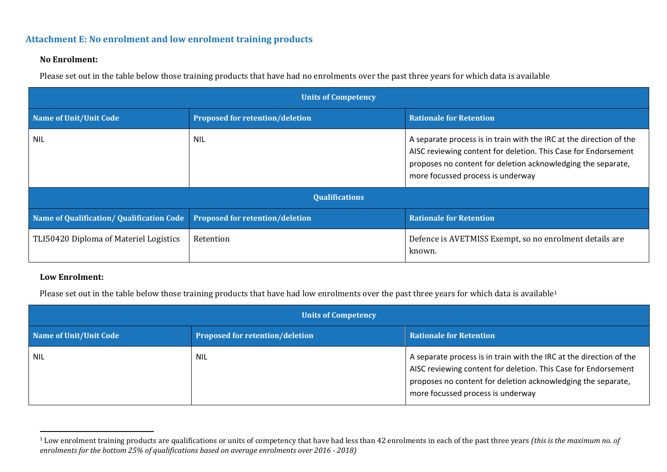#### **Attachment E: No enrolment and low enrolment training products**

#### **No Enrolment:**

Please set out in the table below those training products that have had no enrolments over the past three years for which data is available

| <b>Units of Competency</b>                |                                        |                                                                                                                                                                                                                                            |  |  |
|-------------------------------------------|----------------------------------------|--------------------------------------------------------------------------------------------------------------------------------------------------------------------------------------------------------------------------------------------|--|--|
| Name of Unit/Unit Code                    | <b>Proposed for retention/deletion</b> | <b>Rationale for Retention</b>                                                                                                                                                                                                             |  |  |
| <b>NIL</b>                                | <b>NIL</b>                             | A separate process is in train with the IRC at the direction of the<br>AISC reviewing content for deletion. This Case for Endorsement<br>proposes no content for deletion acknowledging the separate,<br>more focussed process is underway |  |  |
| <b>Qualifications</b>                     |                                        |                                                                                                                                                                                                                                            |  |  |
| Name of Qualification/ Qualification Code | <b>Proposed for retention/deletion</b> | <b>Rationale for Retention</b>                                                                                                                                                                                                             |  |  |
| TLI50420 Diploma of Materiel Logistics    | Retention                              | Defence is AVETMISS Exempt, so no enrolment details are<br>known.                                                                                                                                                                          |  |  |

#### **Low Enrolment:**

Please set out in the table below those training products that have had low enrolments over the past three years for which data is available<sup>1</sup>

| <b>Units of Competency</b>    |                                        |                                                                                                                                                                                                                                            |
|-------------------------------|----------------------------------------|--------------------------------------------------------------------------------------------------------------------------------------------------------------------------------------------------------------------------------------------|
| <b>Name of Unit/Unit Code</b> | <b>Proposed for retention/deletion</b> | <b>Rationale for Retention</b>                                                                                                                                                                                                             |
| <b>NIL</b>                    | <b>NIL</b>                             | A separate process is in train with the IRC at the direction of the<br>AISC reviewing content for deletion. This Case for Endorsement<br>proposes no content for deletion acknowledging the separate,<br>more focussed process is underway |

<sup>1</sup> Low enrolment training products are qualifications or units of competency that have had less than 42 enrolments in each of the past three years *(this is the maximum no. of enrolments for the bottom 25% of qualifications based on average enrolments over 2016 ‐ 2018)*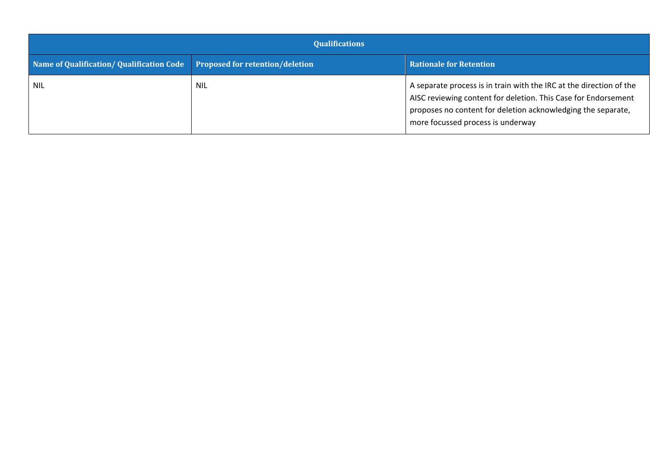| <b>Qualifications</b>                                                    |            |                                                                                                                                                                                                                                            |
|--------------------------------------------------------------------------|------------|--------------------------------------------------------------------------------------------------------------------------------------------------------------------------------------------------------------------------------------------|
| Name of Qualification/Qualification Code Proposed for retention/deletion |            | <b>Rationale for Retention</b>                                                                                                                                                                                                             |
| <b>NIL</b>                                                               | <b>NIL</b> | A separate process is in train with the IRC at the direction of the<br>AISC reviewing content for deletion. This Case for Endorsement<br>proposes no content for deletion acknowledging the separate,<br>more focussed process is underway |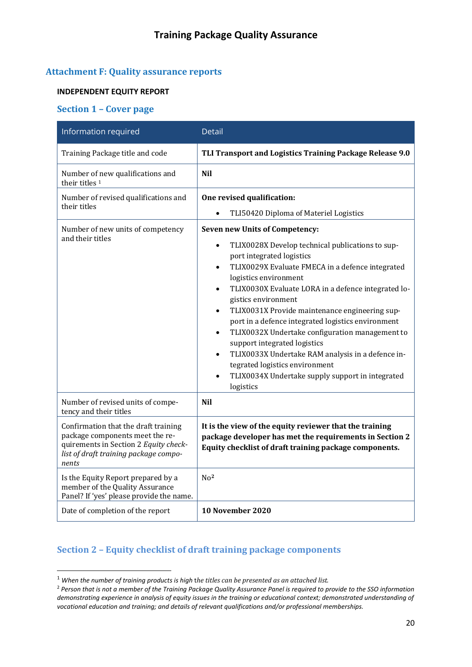#### **Attachment F: Quality assurance reports**

#### **INDEPENDENT EQUITY REPORT**

#### **Section 1 – Cover page**

| Information required                                                                                                                                               | <b>Detail</b>                                                                                                                                                                                                                                                                                                                                                                                                                                                                                                                                                                                                                                                                                       |
|--------------------------------------------------------------------------------------------------------------------------------------------------------------------|-----------------------------------------------------------------------------------------------------------------------------------------------------------------------------------------------------------------------------------------------------------------------------------------------------------------------------------------------------------------------------------------------------------------------------------------------------------------------------------------------------------------------------------------------------------------------------------------------------------------------------------------------------------------------------------------------------|
| Training Package title and code                                                                                                                                    | TLI Transport and Logistics Training Package Release 9.0                                                                                                                                                                                                                                                                                                                                                                                                                                                                                                                                                                                                                                            |
| Number of new qualifications and<br>their titles <sup>1</sup>                                                                                                      | <b>Nil</b>                                                                                                                                                                                                                                                                                                                                                                                                                                                                                                                                                                                                                                                                                          |
| Number of revised qualifications and<br>their titles                                                                                                               | One revised qualification:<br>TLI50420 Diploma of Materiel Logistics                                                                                                                                                                                                                                                                                                                                                                                                                                                                                                                                                                                                                                |
| Number of new units of competency<br>and their titles                                                                                                              | Seven new Units of Competency:<br>TLIX0028X Develop technical publications to sup-<br>$\bullet$<br>port integrated logistics<br>TLIX0029X Evaluate FMECA in a defence integrated<br>٠<br>logistics environment<br>TLIX0030X Evaluate LORA in a defence integrated lo-<br>$\bullet$<br>gistics environment<br>TLIX0031X Provide maintenance engineering sup-<br>$\bullet$<br>port in a defence integrated logistics environment<br>TLIX0032X Undertake configuration management to<br>$\bullet$<br>support integrated logistics<br>TLIX0033X Undertake RAM analysis in a defence in-<br>$\bullet$<br>tegrated logistics environment<br>TLIX0034X Undertake supply support in integrated<br>logistics |
| Number of revised units of compe-<br>tency and their titles                                                                                                        | <b>Nil</b>                                                                                                                                                                                                                                                                                                                                                                                                                                                                                                                                                                                                                                                                                          |
| Confirmation that the draft training<br>package components meet the re-<br>quirements in Section 2 Equity check-<br>list of draft training package compo-<br>nents | It is the view of the equity reviewer that the training<br>package developer has met the requirements in Section 2<br>Equity checklist of draft training package components.                                                                                                                                                                                                                                                                                                                                                                                                                                                                                                                        |
| Is the Equity Report prepared by a<br>member of the Quality Assurance<br>Panel? If 'yes' please provide the name.                                                  | $N0$ <sup>2</sup>                                                                                                                                                                                                                                                                                                                                                                                                                                                                                                                                                                                                                                                                                   |
| Date of completion of the report                                                                                                                                   | 10 November 2020                                                                                                                                                                                                                                                                                                                                                                                                                                                                                                                                                                                                                                                                                    |

# **Section 2 – Equity checklist of draft training package components**

<sup>1</sup> *When the number of training products is high* t*he titles can be presented as an attached list.*

<sup>&</sup>lt;sup>2</sup> Person that is not a member of the Training Package Quality Assurance Panel is required to provide to the SSO information demonstrating experience in analysis of equity issues in the training or educational context; demonstrated understanding of *vocational education and training; and details of relevant qualifications and/or professional memberships.*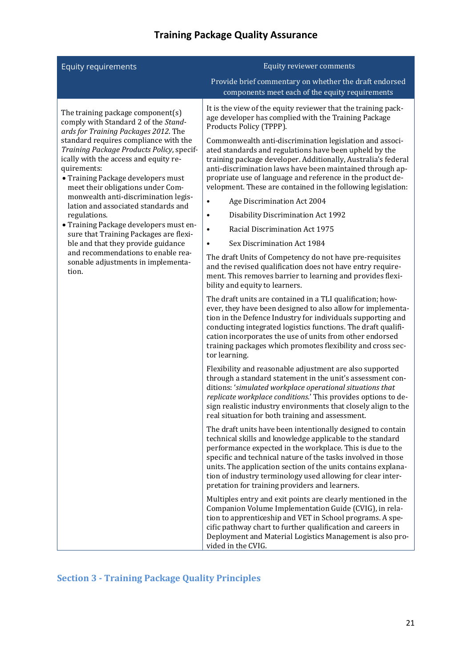| <b>Equity requirements</b>                                                                                                                                                                                                                                                                                                                                                                                                                                                                                                          | Equity reviewer comments                                                                                                                                                                                                                                                                                                                                                                                                                                                                                                                                                                                                                                                                                                                                                                                                                                                                                                                                                                                                                                                                                                                                                                                                                                                                                                                                                                                                                                                                                                                                                                                                                                                                                                                                                                                                                                                                                                                                                                                                                                                                                                                                                                                                                                                                                                                                         |  |
|-------------------------------------------------------------------------------------------------------------------------------------------------------------------------------------------------------------------------------------------------------------------------------------------------------------------------------------------------------------------------------------------------------------------------------------------------------------------------------------------------------------------------------------|------------------------------------------------------------------------------------------------------------------------------------------------------------------------------------------------------------------------------------------------------------------------------------------------------------------------------------------------------------------------------------------------------------------------------------------------------------------------------------------------------------------------------------------------------------------------------------------------------------------------------------------------------------------------------------------------------------------------------------------------------------------------------------------------------------------------------------------------------------------------------------------------------------------------------------------------------------------------------------------------------------------------------------------------------------------------------------------------------------------------------------------------------------------------------------------------------------------------------------------------------------------------------------------------------------------------------------------------------------------------------------------------------------------------------------------------------------------------------------------------------------------------------------------------------------------------------------------------------------------------------------------------------------------------------------------------------------------------------------------------------------------------------------------------------------------------------------------------------------------------------------------------------------------------------------------------------------------------------------------------------------------------------------------------------------------------------------------------------------------------------------------------------------------------------------------------------------------------------------------------------------------------------------------------------------------------------------------------------------------|--|
|                                                                                                                                                                                                                                                                                                                                                                                                                                                                                                                                     | Provide brief commentary on whether the draft endorsed<br>components meet each of the equity requirements                                                                                                                                                                                                                                                                                                                                                                                                                                                                                                                                                                                                                                                                                                                                                                                                                                                                                                                                                                                                                                                                                                                                                                                                                                                                                                                                                                                                                                                                                                                                                                                                                                                                                                                                                                                                                                                                                                                                                                                                                                                                                                                                                                                                                                                        |  |
| The training package component(s)<br>comply with Standard 2 of the Stand-<br>ards for Training Packages 2012. The                                                                                                                                                                                                                                                                                                                                                                                                                   | It is the view of the equity reviewer that the training pack-<br>age developer has complied with the Training Package<br>Products Policy (TPPP).                                                                                                                                                                                                                                                                                                                                                                                                                                                                                                                                                                                                                                                                                                                                                                                                                                                                                                                                                                                                                                                                                                                                                                                                                                                                                                                                                                                                                                                                                                                                                                                                                                                                                                                                                                                                                                                                                                                                                                                                                                                                                                                                                                                                                 |  |
| standard requires compliance with the<br>Training Package Products Policy, specif-<br>ically with the access and equity re-<br>quirements:<br>• Training Package developers must<br>meet their obligations under Com-<br>monwealth anti-discrimination legis-<br>lation and associated standards and<br>regulations.<br>• Training Package developers must en-<br>sure that Training Packages are flexi-<br>ble and that they provide guidance<br>and recommendations to enable rea-<br>sonable adjustments in implementa-<br>tion. | Commonwealth anti-discrimination legislation and associ-<br>ated standards and regulations have been upheld by the<br>training package developer. Additionally, Australia's federal<br>anti-discrimination laws have been maintained through ap-<br>propriate use of language and reference in the product de-<br>velopment. These are contained in the following legislation:<br>Age Discrimination Act 2004<br>Disability Discrimination Act 1992<br>$\bullet$<br>Racial Discrimination Act 1975<br>$\bullet$<br>Sex Discrimination Act 1984<br>$\bullet$<br>The draft Units of Competency do not have pre-requisites<br>and the revised qualification does not have entry require-<br>ment. This removes barrier to learning and provides flexi-<br>bility and equity to learners.<br>The draft units are contained in a TLI qualification; how-<br>ever, they have been designed to also allow for implementa-<br>tion in the Defence Industry for individuals supporting and<br>conducting integrated logistics functions. The draft qualifi-<br>cation incorporates the use of units from other endorsed<br>training packages which promotes flexibility and cross sec-<br>tor learning.<br>Flexibility and reasonable adjustment are also supported<br>through a standard statement in the unit's assessment con-<br>ditions: 'simulated workplace operational situations that<br>replicate workplace conditions.' This provides options to de-<br>sign realistic industry environments that closely align to the<br>real situation for both training and assessment.<br>The draft units have been intentionally designed to contain<br>technical skills and knowledge applicable to the standard<br>performance expected in the workplace. This is due to the<br>specific and technical nature of the tasks involved in those<br>units. The application section of the units contains explana-<br>tion of industry terminology used allowing for clear inter-<br>pretation for training providers and learners.<br>Multiples entry and exit points are clearly mentioned in the<br>Companion Volume Implementation Guide (CVIG), in rela-<br>tion to apprenticeship and VET in School programs. A spe-<br>cific pathway chart to further qualification and careers in<br>Deployment and Material Logistics Management is also pro-<br>vided in the CVIG. |  |

# **Section 3 ‐ Training Package Quality Principles**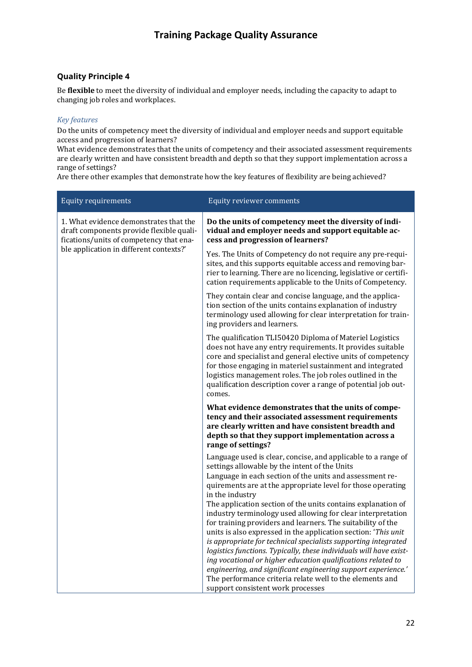#### **Quality Principle 4**

Be **flexible** to meet the diversity of individual and employer needs, including the capacity to adapt to changing job roles and workplaces.

#### *Key features*

Do the units of competency meet the diversity of individual and employer needs and support equitable access and progression of learners?

What evidence demonstrates that the units of competency and their associated assessment requirements are clearly written and have consistent breadth and depth so that they support implementation across a range of settings?

Are there other examples that demonstrate how the key features of flexibility are being achieved?

| <b>Equity requirements</b>                                                                                                                                               | Equity reviewer comments                                                                                                                                                                                                                                                                                                                                                                                                                                              |
|--------------------------------------------------------------------------------------------------------------------------------------------------------------------------|-----------------------------------------------------------------------------------------------------------------------------------------------------------------------------------------------------------------------------------------------------------------------------------------------------------------------------------------------------------------------------------------------------------------------------------------------------------------------|
| 1. What evidence demonstrates that the<br>draft components provide flexible quali-<br>fications/units of competency that ena-<br>ble application in different contexts?' | Do the units of competency meet the diversity of indi-<br>vidual and employer needs and support equitable ac-<br>cess and progression of learners?                                                                                                                                                                                                                                                                                                                    |
|                                                                                                                                                                          | Yes. The Units of Competency do not require any pre-requi-<br>sites, and this supports equitable access and removing bar-<br>rier to learning. There are no licencing, legislative or certifi-<br>cation requirements applicable to the Units of Competency.                                                                                                                                                                                                          |
|                                                                                                                                                                          | They contain clear and concise language, and the applica-<br>tion section of the units contains explanation of industry<br>terminology used allowing for clear interpretation for train-<br>ing providers and learners.                                                                                                                                                                                                                                               |
|                                                                                                                                                                          | The qualification TLI50420 Diploma of Materiel Logistics<br>does not have any entry requirements. It provides suitable<br>core and specialist and general elective units of competency<br>for those engaging in materiel sustainment and integrated<br>logistics management roles. The job roles outlined in the<br>qualification description cover a range of potential job out-<br>comes.                                                                           |
|                                                                                                                                                                          | What evidence demonstrates that the units of compe-<br>tency and their associated assessment requirements<br>are clearly written and have consistent breadth and<br>depth so that they support implementation across a<br>range of settings?                                                                                                                                                                                                                          |
|                                                                                                                                                                          | Language used is clear, concise, and applicable to a range of<br>settings allowable by the intent of the Units<br>Language in each section of the units and assessment re-<br>quirements are at the appropriate level for those operating<br>in the industry<br>The application section of the units contains explanation of                                                                                                                                          |
|                                                                                                                                                                          | industry terminology used allowing for clear interpretation<br>for training providers and learners. The suitability of the<br>units is also expressed in the application section: 'This unit<br>is appropriate for technical specialists supporting integrated<br>logistics functions. Typically, these individuals will have exist-<br>ing vocational or higher education qualifications related to<br>engineering, and significant engineering support experience.' |
|                                                                                                                                                                          | The performance criteria relate well to the elements and<br>support consistent work processes                                                                                                                                                                                                                                                                                                                                                                         |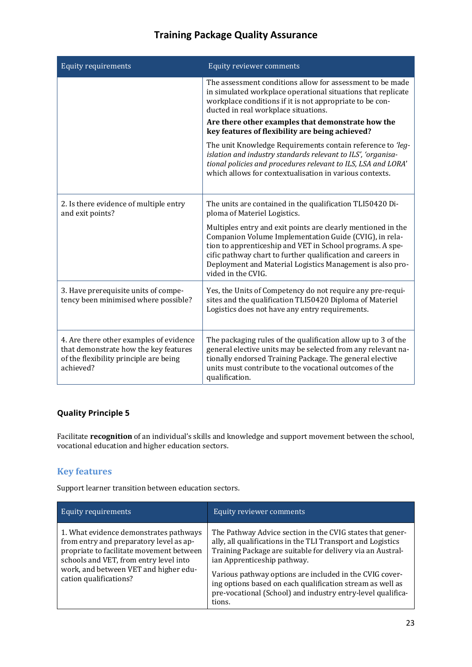| <b>Equity requirements</b>                                                                                                              | Equity reviewer comments                                                                                                                                                                                                                                                                                                              |
|-----------------------------------------------------------------------------------------------------------------------------------------|---------------------------------------------------------------------------------------------------------------------------------------------------------------------------------------------------------------------------------------------------------------------------------------------------------------------------------------|
|                                                                                                                                         | The assessment conditions allow for assessment to be made<br>in simulated workplace operational situations that replicate<br>workplace conditions if it is not appropriate to be con-<br>ducted in real workplace situations.                                                                                                         |
|                                                                                                                                         | Are there other examples that demonstrate how the<br>key features of flexibility are being achieved?                                                                                                                                                                                                                                  |
|                                                                                                                                         | The unit Knowledge Requirements contain reference to 'leg-<br>islation and industry standards relevant to ILS', 'organisa-<br>tional policies and procedures relevant to ILS, LSA and LORA'<br>which allows for contextualisation in various contexts.                                                                                |
| 2. Is there evidence of multiple entry<br>and exit points?                                                                              | The units are contained in the qualification TLI50420 Di-<br>ploma of Materiel Logistics.                                                                                                                                                                                                                                             |
|                                                                                                                                         | Multiples entry and exit points are clearly mentioned in the<br>Companion Volume Implementation Guide (CVIG), in rela-<br>tion to apprenticeship and VET in School programs. A spe-<br>cific pathway chart to further qualification and careers in<br>Deployment and Material Logistics Management is also pro-<br>vided in the CVIG. |
| 3. Have prerequisite units of compe-<br>tency been minimised where possible?                                                            | Yes, the Units of Competency do not require any pre-requi-<br>sites and the qualification TLI50420 Diploma of Materiel<br>Logistics does not have any entry requirements.                                                                                                                                                             |
| 4. Are there other examples of evidence<br>that demonstrate how the key features<br>of the flexibility principle are being<br>achieved? | The packaging rules of the qualification allow up to 3 of the<br>general elective units may be selected from any relevant na-<br>tionally endorsed Training Package. The general elective<br>units must contribute to the vocational outcomes of the<br>qualification.                                                                |

## **Quality Principle 5**

Facilitate **recognition** of an individual's skills and knowledge and support movement between the school, vocational education and higher education sectors.

#### **Key features**

Support learner transition between education sectors.

| Equity requirements                                                                                                                                                                                                                        | Equity reviewer comments                                                                                                                                                                                                                                                                                                                                                                                               |
|--------------------------------------------------------------------------------------------------------------------------------------------------------------------------------------------------------------------------------------------|------------------------------------------------------------------------------------------------------------------------------------------------------------------------------------------------------------------------------------------------------------------------------------------------------------------------------------------------------------------------------------------------------------------------|
| 1. What evidence demonstrates pathways<br>from entry and preparatory level as ap-<br>propriate to facilitate movement between<br>schools and VET, from entry level into<br>work, and between VET and higher edu-<br>cation qualifications? | The Pathway Advice section in the CVIG states that gener-<br>ally, all qualifications in the TLI Transport and Logistics<br>Training Package are suitable for delivery via an Austral-<br>ian Apprenticeship pathway.<br>Various pathway options are included in the CVIG cover-<br>ing options based on each qualification stream as well as<br>pre-vocational (School) and industry entry-level qualifica-<br>tions. |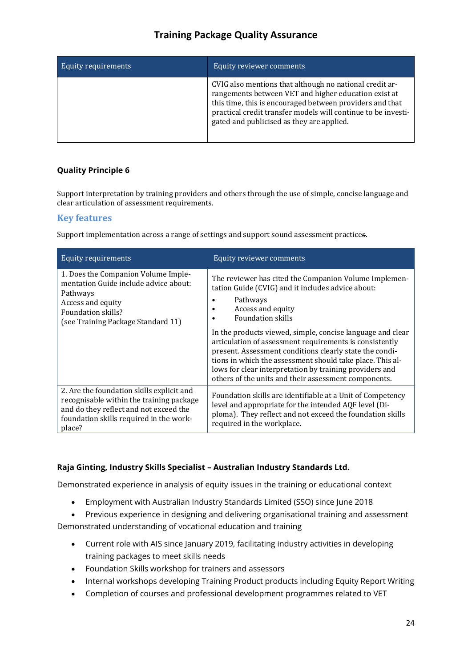| <b>Equity requirements</b> | Equity reviewer comments                                                                                                                                                                                                                                                                  |
|----------------------------|-------------------------------------------------------------------------------------------------------------------------------------------------------------------------------------------------------------------------------------------------------------------------------------------|
|                            | CVIG also mentions that although no national credit ar-<br>rangements between VET and higher education exist at<br>this time, this is encouraged between providers and that<br>practical credit transfer models will continue to be investi-<br>gated and publicised as they are applied. |

#### **Quality Principle 6**

Support interpretation by training providers and others through the use of simple, concise language and clear articulation of assessment requirements.

#### **Key features**

Support implementation across a range of settings and support sound assessment practices.

| <b>Equity requirements</b>                                                                                                                                                           | Equity reviewer comments                                                                                                                                                                                                                                                                                                                                                                                                                                                                                                                    |
|--------------------------------------------------------------------------------------------------------------------------------------------------------------------------------------|---------------------------------------------------------------------------------------------------------------------------------------------------------------------------------------------------------------------------------------------------------------------------------------------------------------------------------------------------------------------------------------------------------------------------------------------------------------------------------------------------------------------------------------------|
| 1. Does the Companion Volume Imple-<br>mentation Guide include advice about:<br>Pathways<br>Access and equity<br>Foundation skills?<br>(see Training Package Standard 11)            | The reviewer has cited the Companion Volume Implemen-<br>tation Guide (CVIG) and it includes advice about:<br>Pathways<br>Access and equity<br><b>Foundation skills</b><br>In the products viewed, simple, concise language and clear<br>articulation of assessment requirements is consistently<br>present. Assessment conditions clearly state the condi-<br>tions in which the assessment should take place. This al-<br>lows for clear interpretation by training providers and<br>others of the units and their assessment components. |
| 2. Are the foundation skills explicit and<br>recognisable within the training package<br>and do they reflect and not exceed the<br>foundation skills required in the work-<br>place? | Foundation skills are identifiable at a Unit of Competency<br>level and appropriate for the intended AQF level (Di-<br>ploma). They reflect and not exceed the foundation skills<br>required in the workplace.                                                                                                                                                                                                                                                                                                                              |

#### **Raja Ginting, Industry Skills Specialist – Australian Industry Standards Ltd.**

Demonstrated experience in analysis of equity issues in the training or educational context

- Employment with Australian Industry Standards Limited (SSO) since June 2018
- Previous experience in designing and delivering organisational training and assessment

Demonstrated understanding of vocational education and training

- Current role with AIS since January 2019, facilitating industry activities in developing training packages to meet skills needs
- Foundation Skills workshop for trainers and assessors
- Internal workshops developing Training Product products including Equity Report Writing
- Completion of courses and professional development programmes related to VET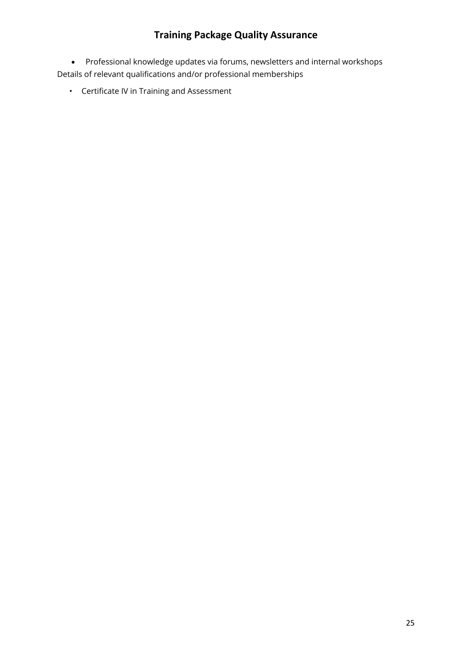Professional knowledge updates via forums, newsletters and internal workshops Details of relevant qualifications and/or professional memberships

• Certificate IV in Training and Assessment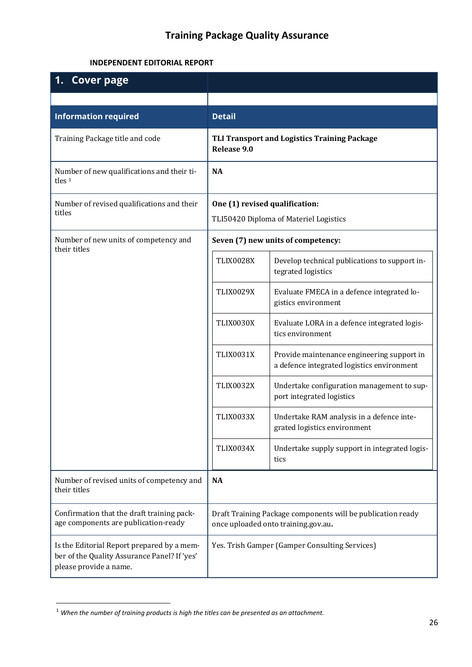#### **INDEPENDENT EDITORIAL REPORT**

| <b>Cover page</b>                                                                                                    |                                                                                                    |                                                                                          |
|----------------------------------------------------------------------------------------------------------------------|----------------------------------------------------------------------------------------------------|------------------------------------------------------------------------------------------|
|                                                                                                                      |                                                                                                    |                                                                                          |
| <b>Information required</b>                                                                                          | <b>Detail</b>                                                                                      |                                                                                          |
| Training Package title and code                                                                                      | <b>TLI Transport and Logistics Training Package</b><br>Release 9.0                                 |                                                                                          |
| Number of new qualifications and their ti-<br>tles $1$                                                               | <b>NA</b>                                                                                          |                                                                                          |
| Number of revised qualifications and their                                                                           | One (1) revised qualification:                                                                     |                                                                                          |
| titles                                                                                                               |                                                                                                    | TLI50420 Diploma of Materiel Logistics                                                   |
| Number of new units of competency and<br>their titles                                                                |                                                                                                    | Seven (7) new units of competency:                                                       |
|                                                                                                                      | <b>TLIX0028X</b>                                                                                   | Develop technical publications to support in-<br>tegrated logistics                      |
|                                                                                                                      | <b>TLIX0029X</b>                                                                                   | Evaluate FMECA in a defence integrated lo-<br>gistics environment                        |
|                                                                                                                      | <b>TLIX0030X</b>                                                                                   | Evaluate LORA in a defence integrated logis-<br>tics environment                         |
|                                                                                                                      | <b>TLIX0031X</b>                                                                                   | Provide maintenance engineering support in<br>a defence integrated logistics environment |
|                                                                                                                      | <b>TLIX0032X</b>                                                                                   | Undertake configuration management to sup-<br>port integrated logistics                  |
|                                                                                                                      | <b>TLIX0033X</b>                                                                                   | Undertake RAM analysis in a defence inte-<br>grated logistics environment                |
|                                                                                                                      | TLIX0034X                                                                                          | Undertake supply support in integrated logis-<br>tics                                    |
| Number of revised units of competency and<br>their titles                                                            | <b>NA</b>                                                                                          |                                                                                          |
| Confirmation that the draft training pack-<br>age components are publication-ready                                   | Draft Training Package components will be publication ready<br>once uploaded onto training.gov.au. |                                                                                          |
| Is the Editorial Report prepared by a mem-<br>ber of the Quality Assurance Panel? If 'yes'<br>please provide a name. |                                                                                                    | Yes. Trish Gamper (Gamper Consulting Services)                                           |

<sup>1</sup> *When the number of training products is high the titles can be presented as an attachment.*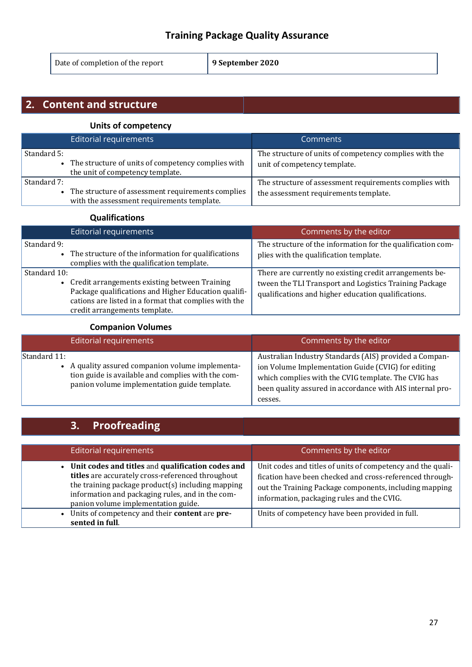Date of completion of the report **9 September 2020**

# **2. Content and structure**

#### **Units of competency**

|             | Editorial requirements                                                                          | <b>Comments</b>                                                                                 |
|-------------|-------------------------------------------------------------------------------------------------|-------------------------------------------------------------------------------------------------|
| Standard 5: | The structure of units of competency complies with<br>the unit of competency template.          | The structure of units of competency complies with the<br>unit of competency template.          |
| Standard 7: | The structure of assessment requirements complies<br>with the assessment requirements template. | The structure of assessment requirements complies with<br>the assessment requirements template. |

#### **Qualifications**

| Editorial requirements                                                                                                                                                                                            | Comments by the editor                                                                                                                                                   |
|-------------------------------------------------------------------------------------------------------------------------------------------------------------------------------------------------------------------|--------------------------------------------------------------------------------------------------------------------------------------------------------------------------|
| Standard 9:<br>• The structure of the information for qualifications<br>complies with the qualification template.                                                                                                 | The structure of the information for the qualification com-<br>plies with the qualification template.                                                                    |
| Standard 10:<br>• Credit arrangements existing between Training<br>Package qualifications and Higher Education qualifi-<br>cations are listed in a format that complies with the<br>credit arrangements template. | There are currently no existing credit arrangements be-<br>tween the TLI Transport and Logistics Training Package<br>qualifications and higher education qualifications. |

#### **Companion Volumes**

| Editorial requirements                                                                                                                                                 | Comments by the editor                                                                                                                                                                                                                      |
|------------------------------------------------------------------------------------------------------------------------------------------------------------------------|---------------------------------------------------------------------------------------------------------------------------------------------------------------------------------------------------------------------------------------------|
| Standard 11:<br>• A quality assured companion volume implementa-<br>tion guide is available and complies with the com-<br>panion volume implementation guide template. | Australian Industry Standards (AIS) provided a Compan-<br>ion Volume Implementation Guide (CVIG) for editing<br>which complies with the CVIG template. The CVIG has<br>been quality assured in accordance with AIS internal pro-<br>cesses. |

# **3. Proofreading**

| <b>Editorial requirements</b>                                                                                                                                                                                                                          | Comments by the editor                                                                                                                                                                                                          |
|--------------------------------------------------------------------------------------------------------------------------------------------------------------------------------------------------------------------------------------------------------|---------------------------------------------------------------------------------------------------------------------------------------------------------------------------------------------------------------------------------|
| Unit codes and titles and qualification codes and<br>titles are accurately cross-referenced throughout<br>the training package product(s) including mapping<br>information and packaging rules, and in the com-<br>panion volume implementation guide. | Unit codes and titles of units of competency and the quali-<br>fication have been checked and cross-referenced through-<br>out the Training Package components, including mapping<br>information, packaging rules and the CVIG. |
| Units of competency and their content are pre-<br>sented in full.                                                                                                                                                                                      | Units of competency have been provided in full.                                                                                                                                                                                 |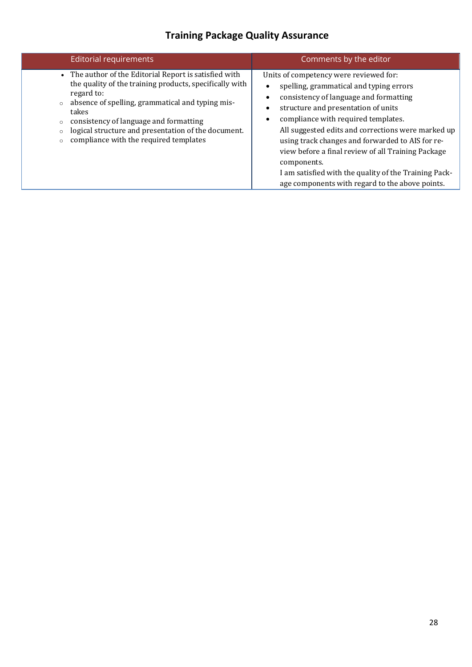| <b>Editorial requirements</b>                                                                                                                                                                                                                                                                                                                      | Comments by the editor                                                                                                                                                                                                                                                                                                                                                                                                                                                                               |
|----------------------------------------------------------------------------------------------------------------------------------------------------------------------------------------------------------------------------------------------------------------------------------------------------------------------------------------------------|------------------------------------------------------------------------------------------------------------------------------------------------------------------------------------------------------------------------------------------------------------------------------------------------------------------------------------------------------------------------------------------------------------------------------------------------------------------------------------------------------|
| • The author of the Editorial Report is satisfied with<br>the quality of the training products, specifically with<br>regard to:<br>absence of spelling, grammatical and typing mis-<br>$\circ$<br>takes<br>consistency of language and formatting<br>logical structure and presentation of the document.<br>compliance with the required templates | Units of competency were reviewed for:<br>spelling, grammatical and typing errors<br>consistency of language and formatting<br>structure and presentation of units<br>compliance with required templates.<br>All suggested edits and corrections were marked up<br>using track changes and forwarded to AIS for re-<br>view before a final review of all Training Package<br>components.<br>I am satisfied with the quality of the Training Pack-<br>age components with regard to the above points. |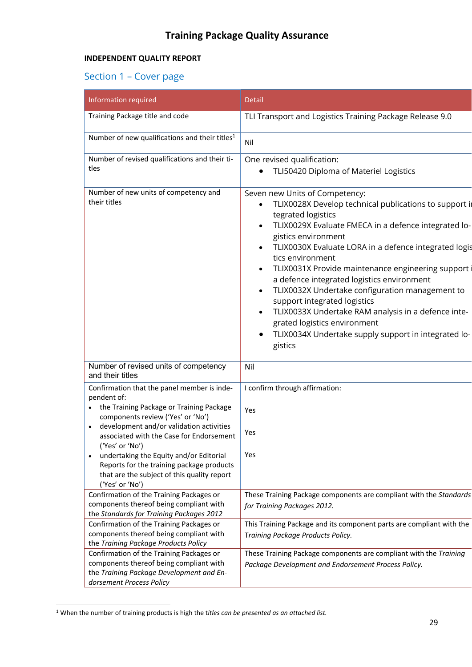#### **INDEPENDENT QUALITY REPORT**

# Section 1 – Cover page

| Information required                                                                                                                                                                                                                                                                                                                                                                                             | Detail                                                                                                                                                                                                                                                                                                                                                                                                                                                                                                                                                                                                                                               |
|------------------------------------------------------------------------------------------------------------------------------------------------------------------------------------------------------------------------------------------------------------------------------------------------------------------------------------------------------------------------------------------------------------------|------------------------------------------------------------------------------------------------------------------------------------------------------------------------------------------------------------------------------------------------------------------------------------------------------------------------------------------------------------------------------------------------------------------------------------------------------------------------------------------------------------------------------------------------------------------------------------------------------------------------------------------------------|
| Training Package title and code                                                                                                                                                                                                                                                                                                                                                                                  | TLI Transport and Logistics Training Package Release 9.0                                                                                                                                                                                                                                                                                                                                                                                                                                                                                                                                                                                             |
| Number of new qualifications and their titles <sup>1</sup>                                                                                                                                                                                                                                                                                                                                                       | Nil                                                                                                                                                                                                                                                                                                                                                                                                                                                                                                                                                                                                                                                  |
| Number of revised qualifications and their ti-<br>tles                                                                                                                                                                                                                                                                                                                                                           | One revised qualification:<br>TLI50420 Diploma of Materiel Logistics                                                                                                                                                                                                                                                                                                                                                                                                                                                                                                                                                                                 |
| Number of new units of competency and<br>their titles                                                                                                                                                                                                                                                                                                                                                            | Seven new Units of Competency:<br>TLIX0028X Develop technical publications to support in<br>tegrated logistics<br>TLIX0029X Evaluate FMECA in a defence integrated lo-<br>gistics environment<br>TLIX0030X Evaluate LORA in a defence integrated logis<br>tics environment<br>TLIX0031X Provide maintenance engineering support<br>$\bullet$<br>a defence integrated logistics environment<br>TLIX0032X Undertake configuration management to<br>$\bullet$<br>support integrated logistics<br>TLIX0033X Undertake RAM analysis in a defence inte-<br>grated logistics environment<br>TLIX0034X Undertake supply support in integrated lo-<br>gistics |
| Number of revised units of competency<br>and their titles                                                                                                                                                                                                                                                                                                                                                        | Nil                                                                                                                                                                                                                                                                                                                                                                                                                                                                                                                                                                                                                                                  |
| Confirmation that the panel member is inde-<br>pendent of:<br>the Training Package or Training Package<br>components review ('Yes' or 'No')<br>development and/or validation activities<br>associated with the Case for Endorsement<br>('Yes' or 'No')<br>undertaking the Equity and/or Editorial<br>Reports for the training package products<br>that are the subject of this quality report<br>('Yes' or 'No') | I confirm through affirmation:<br>Yes<br>Yes<br>Yes                                                                                                                                                                                                                                                                                                                                                                                                                                                                                                                                                                                                  |
| Confirmation of the Training Packages or<br>components thereof being compliant with<br>the Standards for Training Packages 2012                                                                                                                                                                                                                                                                                  | These Training Package components are compliant with the Standards<br>for Training Packages 2012.                                                                                                                                                                                                                                                                                                                                                                                                                                                                                                                                                    |
| Confirmation of the Training Packages or<br>components thereof being compliant with<br>the Training Package Products Policy                                                                                                                                                                                                                                                                                      | This Training Package and its component parts are compliant with the<br>Training Package Products Policy.                                                                                                                                                                                                                                                                                                                                                                                                                                                                                                                                            |
| Confirmation of the Training Packages or<br>components thereof being compliant with<br>the Training Package Development and En-<br>dorsement Process Policy                                                                                                                                                                                                                                                      | These Training Package components are compliant with the Training<br>Package Development and Endorsement Process Policy.                                                                                                                                                                                                                                                                                                                                                                                                                                                                                                                             |

<sup>1</sup> When the number of training products is high the t*itles can be presented as an attached list.*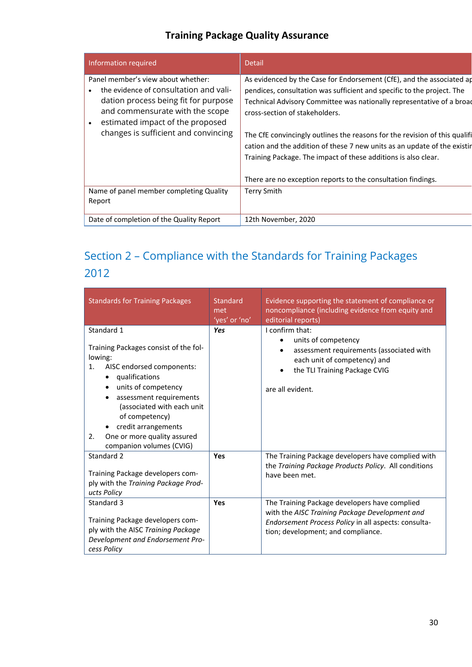| Information required                                                                                                                                                                                                                | <b>Detail</b>                                                                                                                                                                                                                                                                                                                                                                                                                                                                                                                                          |
|-------------------------------------------------------------------------------------------------------------------------------------------------------------------------------------------------------------------------------------|--------------------------------------------------------------------------------------------------------------------------------------------------------------------------------------------------------------------------------------------------------------------------------------------------------------------------------------------------------------------------------------------------------------------------------------------------------------------------------------------------------------------------------------------------------|
| Panel member's view about whether:<br>the evidence of consultation and vali-<br>dation process being fit for purpose<br>and commensurate with the scope<br>estimated impact of the proposed<br>changes is sufficient and convincing | As evidenced by the Case for Endorsement (CfE), and the associated ap<br>pendices, consultation was sufficient and specific to the project. The<br>Technical Advisory Committee was nationally representative of a broad<br>cross-section of stakeholders.<br>The CfE convincingly outlines the reasons for the revision of this qualifi<br>cation and the addition of these 7 new units as an update of the existin<br>Training Package. The impact of these additions is also clear.<br>There are no exception reports to the consultation findings. |
| Name of panel member completing Quality<br>Report                                                                                                                                                                                   | <b>Terry Smith</b>                                                                                                                                                                                                                                                                                                                                                                                                                                                                                                                                     |
| Date of completion of the Quality Report                                                                                                                                                                                            | 12th November, 2020                                                                                                                                                                                                                                                                                                                                                                                                                                                                                                                                    |

# Section 2 – Compliance with the Standards for Training Packages 2012

| <b>Standards for Training Packages</b>                                                                                                                                                                                                                                                                        | Standard<br>met<br>'yes' or 'no' | Evidence supporting the statement of compliance or<br>noncompliance (including evidence from equity and<br>editorial reports)                                                                 |
|---------------------------------------------------------------------------------------------------------------------------------------------------------------------------------------------------------------------------------------------------------------------------------------------------------------|----------------------------------|-----------------------------------------------------------------------------------------------------------------------------------------------------------------------------------------------|
| Standard 1<br>Training Packages consist of the fol-<br>lowing:<br>AISC endorsed components:<br>1.<br>qualifications<br>units of competency<br>assessment requirements<br>(associated with each unit<br>of competency)<br>credit arrangements<br>One or more quality assured<br>2.<br>companion volumes (CVIG) | Yes                              | I confirm that:<br>units of competency<br>assessment requirements (associated with<br>each unit of competency) and<br>the TLI Training Package CVIG<br>are all evident.                       |
| Standard 2<br>Training Package developers com-<br>ply with the Training Package Prod-<br>ucts Policy                                                                                                                                                                                                          | Yes                              | The Training Package developers have complied with<br>the Training Package Products Policy. All conditions<br>have been met.                                                                  |
| Standard 3<br>Training Package developers com-<br>ply with the AISC Training Package<br>Development and Endorsement Pro-<br>cess Policy                                                                                                                                                                       | Yes                              | The Training Package developers have complied<br>with the AISC Training Package Development and<br>Endorsement Process Policy in all aspects: consulta-<br>tion; development; and compliance. |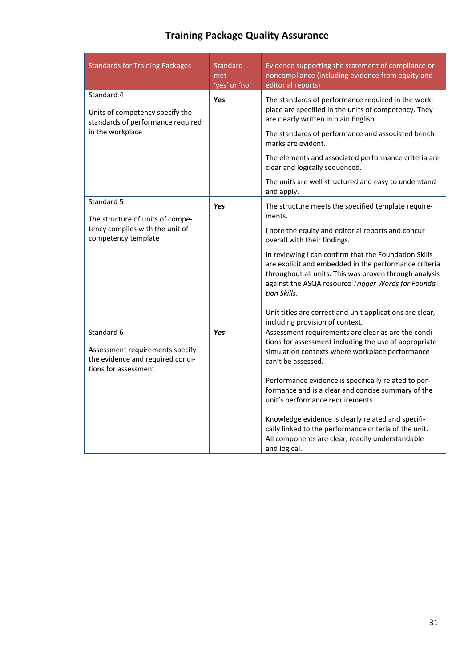| <b>Standards for Training Packages</b>                                                                    | <b>Standard</b><br>met<br>'yes' or 'no' | Evidence supporting the statement of compliance or<br>noncompliance (including evidence from equity and<br>editorial reports)                                                                                                                   |
|-----------------------------------------------------------------------------------------------------------|-----------------------------------------|-------------------------------------------------------------------------------------------------------------------------------------------------------------------------------------------------------------------------------------------------|
| Standard 4<br>Units of competency specify the<br>standards of performance required                        | <b>Yes</b>                              | The standards of performance required in the work-<br>place are specified in the units of competency. They<br>are clearly written in plain English.                                                                                             |
| in the workplace                                                                                          |                                         | The standards of performance and associated bench-<br>marks are evident.                                                                                                                                                                        |
|                                                                                                           |                                         | The elements and associated performance criteria are<br>clear and logically sequenced.                                                                                                                                                          |
|                                                                                                           |                                         | The units are well structured and easy to understand<br>and apply.                                                                                                                                                                              |
| Standard 5<br>The structure of units of compe-                                                            | Yes                                     | The structure meets the specified template require-<br>ments.                                                                                                                                                                                   |
| tency complies with the unit of<br>competency template                                                    |                                         | I note the equity and editorial reports and concur<br>overall with their findings.                                                                                                                                                              |
|                                                                                                           |                                         | In reviewing I can confirm that the Foundation Skills<br>are explicit and embedded in the performance criteria<br>throughout all units. This was proven through analysis<br>against the ASQA resource Trigger Words for Founda-<br>tion Skills. |
|                                                                                                           |                                         | Unit titles are correct and unit applications are clear,<br>including provision of context.                                                                                                                                                     |
| Standard 6<br>Assessment requirements specify<br>the evidence and required condi-<br>tions for assessment | Yes                                     | Assessment requirements are clear as are the condi-<br>tions for assessment including the use of appropriate<br>simulation contexts where workplace performance<br>can't be assessed.                                                           |
|                                                                                                           |                                         | Performance evidence is specifically related to per-<br>formance and is a clear and concise summary of the<br>unit's performance requirements.                                                                                                  |
|                                                                                                           |                                         | Knowledge evidence is clearly related and specifi-<br>cally linked to the performance criteria of the unit.<br>All components are clear, readily understandable<br>and logical.                                                                 |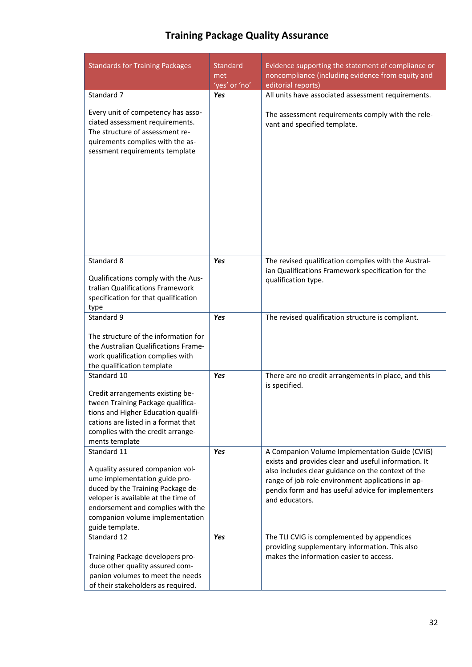|  |  |  | <b>Training Package Quality Assurance</b> |
|--|--|--|-------------------------------------------|
|--|--|--|-------------------------------------------|

| <b>Standards for Training Packages</b>                                                                                                                                                                                                                  | <b>Standard</b><br>met<br>'yes' or 'no' | Evidence supporting the statement of compliance or<br>noncompliance (including evidence from equity and<br>editorial reports)                                                                                                                                                             |
|---------------------------------------------------------------------------------------------------------------------------------------------------------------------------------------------------------------------------------------------------------|-----------------------------------------|-------------------------------------------------------------------------------------------------------------------------------------------------------------------------------------------------------------------------------------------------------------------------------------------|
| Standard 7                                                                                                                                                                                                                                              | Yes                                     | All units have associated assessment requirements.                                                                                                                                                                                                                                        |
| Every unit of competency has asso-<br>ciated assessment requirements.<br>The structure of assessment re-<br>quirements complies with the as-<br>sessment requirements template                                                                          |                                         | The assessment requirements comply with the rele-<br>vant and specified template.                                                                                                                                                                                                         |
| Standard 8<br>Qualifications comply with the Aus-<br>tralian Qualifications Framework<br>specification for that qualification<br>type                                                                                                                   | Yes                                     | The revised qualification complies with the Austral-<br>ian Qualifications Framework specification for the<br>qualification type.                                                                                                                                                         |
| Standard 9                                                                                                                                                                                                                                              | Yes                                     | The revised qualification structure is compliant.                                                                                                                                                                                                                                         |
| The structure of the information for<br>the Australian Qualifications Frame-<br>work qualification complies with<br>the qualification template                                                                                                          |                                         |                                                                                                                                                                                                                                                                                           |
| Standard 10<br>Credit arrangements existing be-<br>tween Training Package qualifica-<br>tions and Higher Education qualifi-<br>cations are listed in a format that<br>complies with the credit arrange-<br>ments template                               | Yes                                     | There are no credit arrangements in place, and this<br>is specified.                                                                                                                                                                                                                      |
| Standard 11<br>A quality assured companion vol-<br>ume implementation guide pro-<br>duced by the Training Package de-<br>veloper is available at the time of<br>endorsement and complies with the<br>companion volume implementation<br>guide template. | Yes                                     | A Companion Volume Implementation Guide (CVIG)<br>exists and provides clear and useful information. It<br>also includes clear guidance on the context of the<br>range of job role environment applications in ap-<br>pendix form and has useful advice for implementers<br>and educators. |
| Standard 12<br>Training Package developers pro-<br>duce other quality assured com-<br>panion volumes to meet the needs<br>of their stakeholders as required.                                                                                            | Yes                                     | The TLI CVIG is complemented by appendices<br>providing supplementary information. This also<br>makes the information easier to access.                                                                                                                                                   |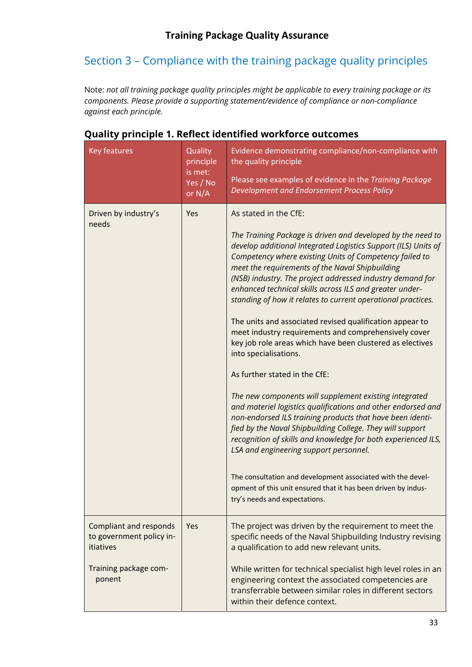# Section 3 – Compliance with the training package quality principles

Note: *not all training package quality principles might be applicable to every training package or its components. Please provide a supporting statement/evidence of compliance or non-compliance against each principle.*

| Key features                                                                                              | Quality<br>principle<br>is met:<br>Yes / No<br>or N/A | Evidence demonstrating compliance/non-compliance with<br>the quality principle<br>Please see examples of evidence in the Training Package<br>Development and Endorsement Process Policy                                                                                                                                                                                                                                                                                                                                                                                                                                                                                                                                                                                                                                                                                                                                                                                                                                                                                                                                                                                                                                                 |
|-----------------------------------------------------------------------------------------------------------|-------------------------------------------------------|-----------------------------------------------------------------------------------------------------------------------------------------------------------------------------------------------------------------------------------------------------------------------------------------------------------------------------------------------------------------------------------------------------------------------------------------------------------------------------------------------------------------------------------------------------------------------------------------------------------------------------------------------------------------------------------------------------------------------------------------------------------------------------------------------------------------------------------------------------------------------------------------------------------------------------------------------------------------------------------------------------------------------------------------------------------------------------------------------------------------------------------------------------------------------------------------------------------------------------------------|
| Driven by industry's<br>needs                                                                             | Yes                                                   | As stated in the CfE:<br>The Training Package is driven and developed by the need to<br>develop additional Integrated Logistics Support (ILS) Units of<br>Competency where existing Units of Competency failed to<br>meet the requirements of the Naval Shipbuilding<br>(NSB) industry. The project addressed industry demand for<br>enhanced technical skills across ILS and greater under-<br>standing of how it relates to current operational practices.<br>The units and associated revised qualification appear to<br>meet industry requirements and comprehensively cover<br>key job role areas which have been clustered as electives<br>into specialisations.<br>As further stated in the CfE:<br>The new components will supplement existing integrated<br>and materiel logistics qualifications and other endorsed and<br>non-endorsed ILS training products that have been identi-<br>fied by the Naval Shipbuilding College. They will support<br>recognition of skills and knowledge for both experienced ILS,<br>LSA and engineering support personnel.<br>The consultation and development associated with the devel-<br>opment of this unit ensured that it has been driven by indus-<br>try's needs and expectations. |
| <b>Compliant and responds</b><br>to government policy in-<br>itiatives<br>Training package com-<br>ponent | Yes                                                   | The project was driven by the requirement to meet the<br>specific needs of the Naval Shipbuilding Industry revising<br>a qualification to add new relevant units.<br>While written for technical specialist high level roles in an<br>engineering context the associated competencies are<br>transferrable between similar roles in different sectors<br>within their defence context.                                                                                                                                                                                                                                                                                                                                                                                                                                                                                                                                                                                                                                                                                                                                                                                                                                                  |

## **Quality principle 1. Reflect identified workforce outcomes**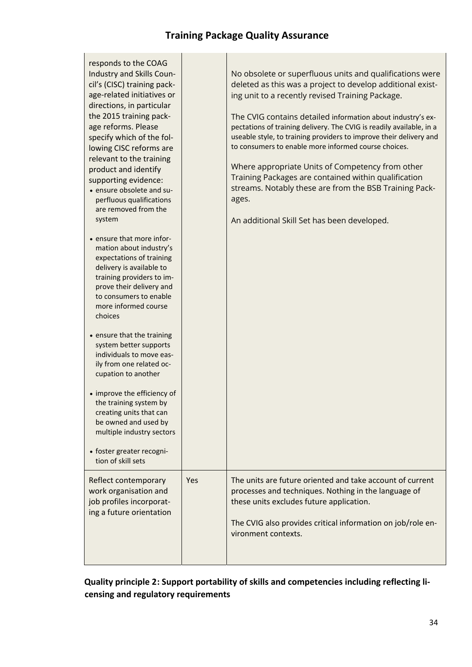| responds to the COAG<br><b>Industry and Skills Coun-</b><br>cil's (CISC) training pack-<br>age-related initiatives or<br>directions, in particular<br>the 2015 training pack-<br>age reforms. Please<br>specify which of the fol-<br>lowing CISC reforms are<br>relevant to the training<br>product and identify<br>supporting evidence:<br>• ensure obsolete and su-<br>perfluous qualifications<br>are removed from the<br>system<br>• ensure that more infor-<br>mation about industry's<br>expectations of training<br>delivery is available to<br>training providers to im-<br>prove their delivery and<br>to consumers to enable<br>more informed course<br>choices<br>• ensure that the training<br>system better supports<br>individuals to move eas-<br>ily from one related oc-<br>cupation to another<br>• improve the efficiency of<br>the training system by<br>creating units that can<br>be owned and used by<br>multiple industry sectors<br>• foster greater recogni-<br>tion of skill sets |     | No obsolete or superfluous units and qualifications were<br>deleted as this was a project to develop additional exist-<br>ing unit to a recently revised Training Package.<br>The CVIG contains detailed information about industry's ex-<br>pectations of training delivery. The CVIG is readily available, in a<br>useable style, to training providers to improve their delivery and<br>to consumers to enable more informed course choices.<br>Where appropriate Units of Competency from other<br>Training Packages are contained within qualification<br>streams. Notably these are from the BSB Training Pack-<br>ages.<br>An additional Skill Set has been developed. |
|--------------------------------------------------------------------------------------------------------------------------------------------------------------------------------------------------------------------------------------------------------------------------------------------------------------------------------------------------------------------------------------------------------------------------------------------------------------------------------------------------------------------------------------------------------------------------------------------------------------------------------------------------------------------------------------------------------------------------------------------------------------------------------------------------------------------------------------------------------------------------------------------------------------------------------------------------------------------------------------------------------------|-----|-------------------------------------------------------------------------------------------------------------------------------------------------------------------------------------------------------------------------------------------------------------------------------------------------------------------------------------------------------------------------------------------------------------------------------------------------------------------------------------------------------------------------------------------------------------------------------------------------------------------------------------------------------------------------------|
| Reflect contemporary<br>work organisation and<br>job profiles incorporat-<br>ing a future orientation                                                                                                                                                                                                                                                                                                                                                                                                                                                                                                                                                                                                                                                                                                                                                                                                                                                                                                        | Yes | The units are future oriented and take account of current<br>processes and techniques. Nothing in the language of<br>these units excludes future application.<br>The CVIG also provides critical information on job/role en-<br>vironment contexts.                                                                                                                                                                                                                                                                                                                                                                                                                           |

## **Quality principle 2: Support portability of skills and competencies including reflecting li‐ censing and regulatory requirements**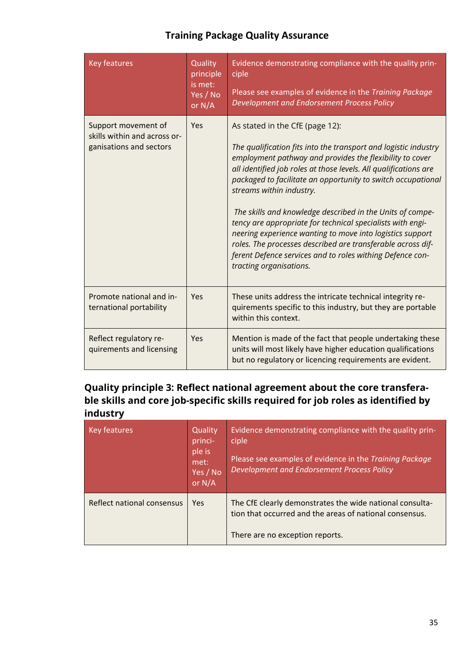| <b>Key features</b>                                                            | Quality<br>principle<br>is met:<br>Yes / No<br>or N/A | Evidence demonstrating compliance with the quality prin-<br>ciple<br>Please see examples of evidence in the Training Package<br>Development and Endorsement Process Policy                                                                                                                                                                                                                                                                                                                                                                                                                                                                                                    |
|--------------------------------------------------------------------------------|-------------------------------------------------------|-------------------------------------------------------------------------------------------------------------------------------------------------------------------------------------------------------------------------------------------------------------------------------------------------------------------------------------------------------------------------------------------------------------------------------------------------------------------------------------------------------------------------------------------------------------------------------------------------------------------------------------------------------------------------------|
| Support movement of<br>skills within and across or-<br>ganisations and sectors | Yes                                                   | As stated in the CfE (page 12):<br>The qualification fits into the transport and logistic industry<br>employment pathway and provides the flexibility to cover<br>all identified job roles at those levels. All qualifications are<br>packaged to facilitate an opportunity to switch occupational<br>streams within industry.<br>The skills and knowledge described in the Units of compe-<br>tency are appropriate for technical specialists with engi-<br>neering experience wanting to move into logistics support<br>roles. The processes described are transferable across dif-<br>ferent Defence services and to roles withing Defence con-<br>tracting organisations. |
| Promote national and in-<br>ternational portability                            | Yes                                                   | These units address the intricate technical integrity re-<br>quirements specific to this industry, but they are portable<br>within this context.                                                                                                                                                                                                                                                                                                                                                                                                                                                                                                                              |
| Reflect regulatory re-<br>quirements and licensing                             | Yes                                                   | Mention is made of the fact that people undertaking these<br>units will most likely have higher education qualifications<br>but no regulatory or licencing requirements are evident.                                                                                                                                                                                                                                                                                                                                                                                                                                                                                          |

## **Quality principle 3: Reflect national agreement about the core transferable skills and core job-specific skills required for job roles as identified by industry**

| Key features               | Quality<br>princi-<br>ple is<br>met:<br>Yes / No<br>or N/A | Evidence demonstrating compliance with the quality prin-<br>ciple<br>Please see examples of evidence in the Training Package<br>Development and Endorsement Process Policy |
|----------------------------|------------------------------------------------------------|----------------------------------------------------------------------------------------------------------------------------------------------------------------------------|
| Reflect national consensus | Yes                                                        | The CfE clearly demonstrates the wide national consulta-<br>tion that occurred and the areas of national consensus.<br>There are no exception reports.                     |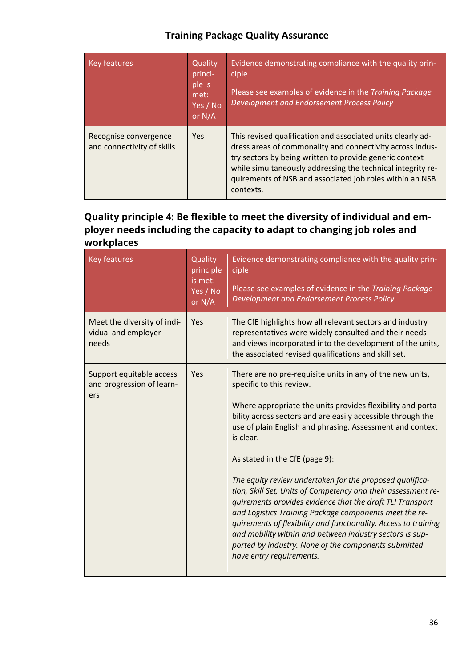| Key features                                        | Quality<br>princi-<br>ple is<br>met:<br>Yes / No<br>or N/A | Evidence demonstrating compliance with the quality prin-<br>ciple<br>Please see examples of evidence in the Training Package<br>Development and Endorsement Process Policy                                                                                                                                                  |
|-----------------------------------------------------|------------------------------------------------------------|-----------------------------------------------------------------------------------------------------------------------------------------------------------------------------------------------------------------------------------------------------------------------------------------------------------------------------|
| Recognise convergence<br>and connectivity of skills | Yes                                                        | This revised qualification and associated units clearly ad-<br>dress areas of commonality and connectivity across indus-<br>try sectors by being written to provide generic context<br>while simultaneously addressing the technical integrity re-<br>quirements of NSB and associated job roles within an NSB<br>contexts. |

## **Quality principle 4: Be flexible to meet the diversity of individual and employer needs including the capacity to adapt to changing job roles and workplaces**

| <b>Key features</b>                                          | Quality<br>principle<br>is met:<br>Yes / No<br>or N/A | Evidence demonstrating compliance with the quality prin-<br>ciple<br>Please see examples of evidence in the Training Package<br>Development and Endorsement Process Policy                                                                                                                                                                                                                                                                                                                                                                                                                                                                                                                                                                                                                             |
|--------------------------------------------------------------|-------------------------------------------------------|--------------------------------------------------------------------------------------------------------------------------------------------------------------------------------------------------------------------------------------------------------------------------------------------------------------------------------------------------------------------------------------------------------------------------------------------------------------------------------------------------------------------------------------------------------------------------------------------------------------------------------------------------------------------------------------------------------------------------------------------------------------------------------------------------------|
| Meet the diversity of indi-<br>vidual and employer<br>needs  | Yes                                                   | The CfE highlights how all relevant sectors and industry<br>representatives were widely consulted and their needs<br>and views incorporated into the development of the units,<br>the associated revised qualifications and skill set.                                                                                                                                                                                                                                                                                                                                                                                                                                                                                                                                                                 |
| Support equitable access<br>and progression of learn-<br>ers | Yes                                                   | There are no pre-requisite units in any of the new units,<br>specific to this review.<br>Where appropriate the units provides flexibility and porta-<br>bility across sectors and are easily accessible through the<br>use of plain English and phrasing. Assessment and context<br>is clear.<br>As stated in the CfE (page 9):<br>The equity review undertaken for the proposed qualifica-<br>tion, Skill Set, Units of Competency and their assessment re-<br>quirements provides evidence that the draft TLI Transport<br>and Logistics Training Package components meet the re-<br>quirements of flexibility and functionality. Access to training<br>and mobility within and between industry sectors is sup-<br>ported by industry. None of the components submitted<br>have entry requirements. |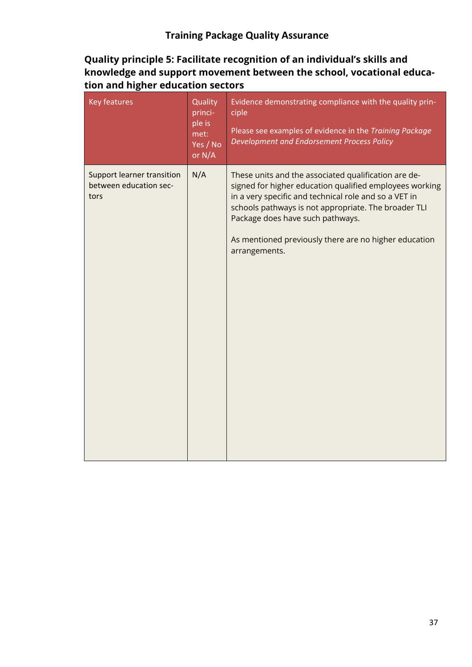## **Quality principle 5: Facilitate recognition of an individual's skills and knowledge and support movement between the school, vocational education and higher education sectors**

| <b>Key features</b>                                          | Quality<br>princi-<br>ple is<br>met:<br>Yes / No<br>or N/A | Evidence demonstrating compliance with the quality prin-<br>ciple<br>Please see examples of evidence in the Training Package<br>Development and Endorsement Process Policy                                                                                                                                                                     |
|--------------------------------------------------------------|------------------------------------------------------------|------------------------------------------------------------------------------------------------------------------------------------------------------------------------------------------------------------------------------------------------------------------------------------------------------------------------------------------------|
| Support learner transition<br>between education sec-<br>tors | N/A                                                        | These units and the associated qualification are de-<br>signed for higher education qualified employees working<br>in a very specific and technical role and so a VET in<br>schools pathways is not appropriate. The broader TLI<br>Package does have such pathways.<br>As mentioned previously there are no higher education<br>arrangements. |